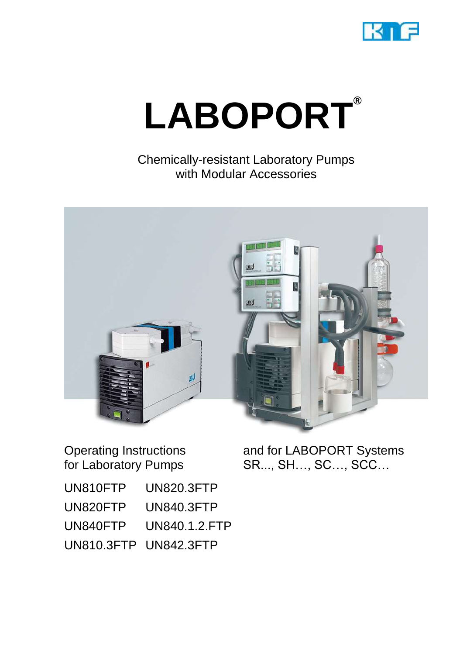

# **LABOPORT®**

Chemically-resistant Laboratory Pumps with Modular Accessories



Operating Instructions for Laboratory Pumps

and for LABOPORT Systems SR..., SH…, SC…, SCC…

| UN810FTP | UN820.3FTP            |
|----------|-----------------------|
| UN820FTP | <b>UN840.3FTP</b>     |
| UN840FTP | UN840.1.2.FTP         |
|          | UN810.3FTP UN842.3FTP |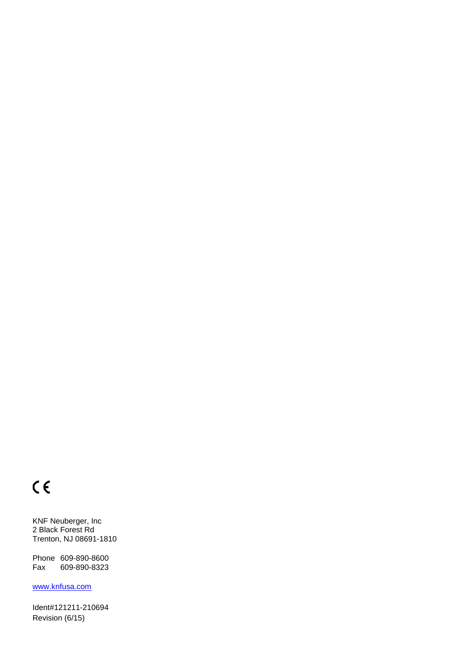## $C \in$

KNF Neuberger, Inc 2 Black Forest Rd Trenton, NJ 08691-1810

Phone 609-890-8600 Fax 609-890-8323

[www.knfusa.com](http://www.knfusa.com/)

Ident#121211-210694 Revision (6/15)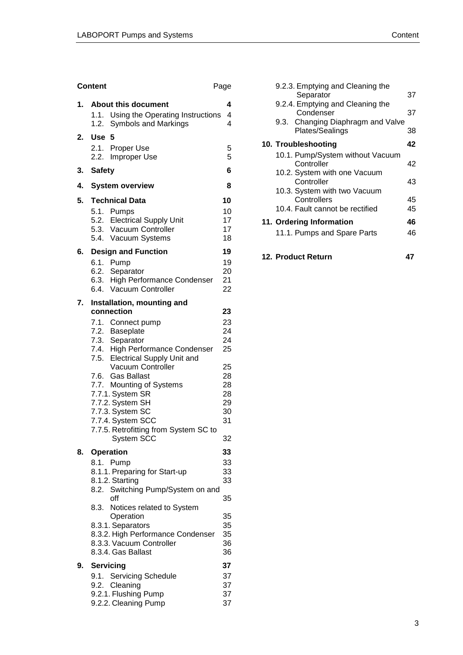|    | <b>Content</b><br>Page                                    |          |
|----|-----------------------------------------------------------|----------|
| 1. | <b>About this document</b>                                | 4        |
|    | 1.1. Using the Operating Instructions                     | 4        |
|    | 1.2. Symbols and Markings                                 | 4        |
| 2. | <b>Use</b><br>5                                           |          |
|    | 2.1. Proper Use<br>2.2. Improper Use                      | 5<br>5   |
|    |                                                           | 6        |
| 3. | <b>Safety</b>                                             |          |
| 4. | <b>System overview</b>                                    | 8        |
| 5. | <b>Technical Data</b>                                     | 10       |
|    | 5.1. Pumps<br>5.2. Electrical Supply Unit                 | 10<br>17 |
|    | 5.3. Vacuum Controller                                    | 17       |
|    | 5.4. Vacuum Systems                                       | 18       |
| 6. | <b>Design and Function</b>                                | 19       |
|    | 6.1. Pump                                                 | 19       |
|    | 6.2. Separator                                            | 20       |
|    | 6.3. High Performance Condenser<br>6.4. Vacuum Controller | 21       |
|    |                                                           | 22       |
| 7. | Installation, mounting and<br>connection                  | 23       |
|    | 7.1. Connect pump                                         | 23       |
|    | 7.2. Baseplate                                            | 24       |
|    | 7.3. Separator                                            | 24       |
|    | 7.4. High Performance Condenser                           | 25       |
|    | 7.5. Electrical Supply Unit and<br>Vacuum Controller      | 25       |
|    | <b>Gas Ballast</b><br>7.6.                                | 28       |
|    | 7.7. Mounting of Systems                                  | 28       |
|    | 7.7.1. System SR                                          | 28       |
|    | 7.7.2. System SH                                          | 29       |
|    | 7.7.3. System SC<br>7.7.4. System SCC                     | 30<br>31 |
|    | 7.7.5. Retrofitting from System SC to                     |          |
|    | System SCC                                                | 32       |
| 8. | Operation                                                 | 33       |
|    | 8.1. Pump                                                 | 33       |
|    | 8.1.1. Preparing for Start-up                             | 33       |
|    | 8.1.2. Starting                                           | 33       |
|    | Switching Pump/System on and<br>8.2.<br>off               | 35       |
|    | Notices related to System<br>8.3.                         |          |
|    | Operation                                                 | 35       |
|    | 8.3.1. Separators<br>8.3.2. High Performance Condenser    | 35<br>35 |
|    | 8.3.3. Vacuum Controller                                  | 36       |
|    | 8.3.4. Gas Ballast                                        | 36       |
| 9. | <b>Servicing</b>                                          | 37       |
|    | 9.1. Servicing Schedule                                   | 37       |
|    | 9.2. Cleaning                                             | 37       |
|    | 9.2.1. Flushing Pump<br>9.2.2. Cleaning Pump              | 37<br>37 |
|    |                                                           |          |

| 9.2.3. Emptying and Cleaning the<br>Separator        | 37 |
|------------------------------------------------------|----|
| 9.2.4. Emptying and Cleaning the<br>Condenser        | 37 |
| 9.3. Changing Diaphragm and Valve<br>Plates/Sealings | 38 |
| 10. Troubleshooting                                  | 42 |
| 10.1. Pump/System without Vacuum<br>Controller       | 42 |
| 10.2. System with one Vacuum<br>Controller           | 43 |
| 10.3. System with two Vacuum                         |    |
| Controllers                                          | 45 |
| 10.4. Fault cannot be rectified                      | 45 |
| 11. Ordering Information                             | 46 |
| 11.1. Pumps and Spare Parts                          | 46 |

**12. Product Return 47**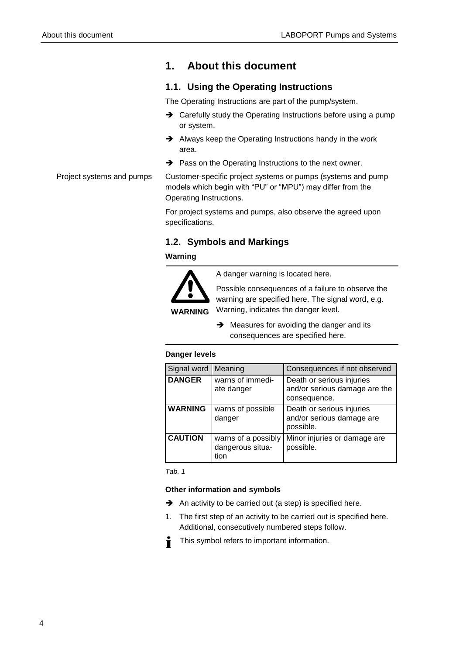## <span id="page-3-0"></span>**1. About this document**

#### <span id="page-3-1"></span>**1.1. Using the Operating Instructions**

The Operating Instructions are part of the pump/system.

- → Carefully study the Operating Instructions before using a pump or system.
- Always keep the Operating Instructions handy in the work area.
- A Pass on the Operating Instructions to the next owner.

Customer-specific project systems or pumps (systems and pump models which begin with "PU" or "MPU") may differ from the Operating Instructions. Project systems and pumps

> For project systems and pumps, also observe the agreed upon specifications.

#### <span id="page-3-2"></span>**1.2. Symbols and Markings**

#### **Warning**



A danger warning is located here.

Possible consequences of a failure to observe the warning are specified here. The signal word, e.g. Warning, indicates the danger level.

 $\rightarrow$  Measures for avoiding the danger and its consequences are specified here.

#### **Danger levels**

| Signal word    | Meaning                                         | Consequences if not observed                                               |
|----------------|-------------------------------------------------|----------------------------------------------------------------------------|
| <b>DANGER</b>  | warns of immedi-<br>ate danger                  | Death or serious injuries<br>and/or serious damage are the<br>consequence. |
| <b>WARNING</b> | warns of possible<br>danger                     | Death or serious injuries<br>and/or serious damage are<br>possible.        |
| <b>CAUTION</b> | warns of a possibly<br>dangerous situa-<br>tion | Minor injuries or damage are<br>possible.                                  |

*Tab. 1* 

#### **Other information and symbols**

- $\rightarrow$  An activity to be carried out (a step) is specified here.
- 1. The first step of an activity to be carried out is specified here. Additional, consecutively numbered steps follow.
- This symbol refers to important information.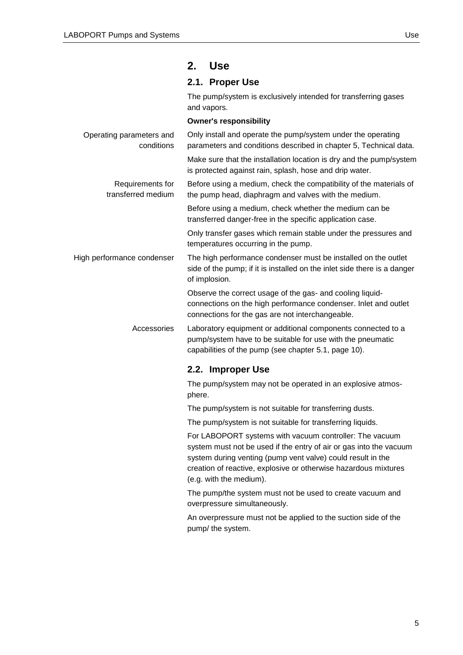## <span id="page-4-0"></span>**2. Use**

#### <span id="page-4-1"></span>**2.1. Proper Use**

The pump/system is exclusively intended for transferring gases and vapors.

|                                        | <b>Owner's responsibility</b>                                                                                                                                                      |
|----------------------------------------|------------------------------------------------------------------------------------------------------------------------------------------------------------------------------------|
| Operating parameters and<br>conditions | Only install and operate the pump/system under the operating<br>parameters and conditions described in chapter 5, Technical data.                                                  |
|                                        | Make sure that the installation location is dry and the pump/system<br>is protected against rain, splash, hose and drip water.                                                     |
| Requirements for<br>transferred medium | Before using a medium, check the compatibility of the materials of<br>the pump head, diaphragm and valves with the medium.                                                         |
|                                        | Before using a medium, check whether the medium can be<br>transferred danger-free in the specific application case.                                                                |
|                                        | Only transfer gases which remain stable under the pressures and<br>temperatures occurring in the pump.                                                                             |
| High performance condenser             | The high performance condenser must be installed on the outlet<br>side of the pump; if it is installed on the inlet side there is a danger<br>of implosion.                        |
|                                        | Observe the correct usage of the gas- and cooling liquid-<br>connections on the high performance condenser. Inlet and outlet<br>connections for the gas are not interchangeable.   |
| Accessories                            | Laboratory equipment or additional components connected to a<br>pump/system have to be suitable for use with the pneumatic<br>capabilities of the pump (see chapter 5.1, page 10). |
|                                        | 2.2. Improper Use                                                                                                                                                                  |
|                                        | The pump/system may not be operated in an explosive atmos-<br>phere.                                                                                                               |
|                                        | The pump/system is not suitable for transferring dusts.                                                                                                                            |
|                                        | The pump/system is not suitable for transferring liquids.                                                                                                                          |
|                                        | For LABOPORT systems with vacuum controller: The vacuum<br>system must not be used if the entry of air or gas into the vacuum                                                      |

<span id="page-4-2"></span>system during venting (pump vent valve) could result in the creation of reactive, explosive or otherwise hazardous mixtures (e.g. with the medium).

The pump/the system must not be used to create vacuum and overpressure simultaneously.

An overpressure must not be applied to the suction side of the pump/ the system.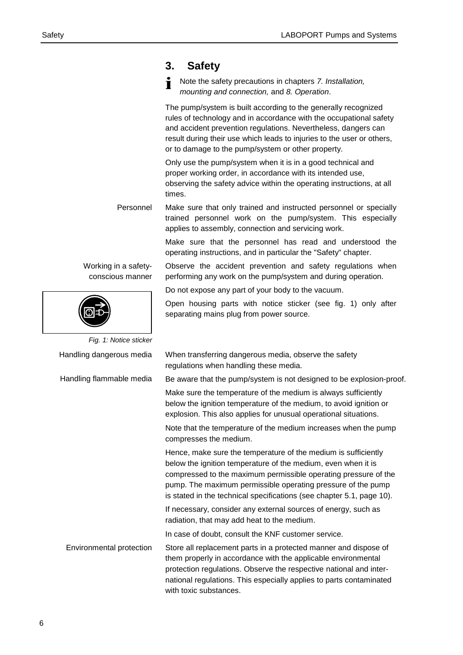Note the safety precautions in chapters *7. Installation,* 

|                                          | mounting and connection, and 8. Operation.                                                                                                                                                                                                                                                                                                  |
|------------------------------------------|---------------------------------------------------------------------------------------------------------------------------------------------------------------------------------------------------------------------------------------------------------------------------------------------------------------------------------------------|
|                                          | The pump/system is built according to the generally recognized<br>rules of technology and in accordance with the occupational safety<br>and accident prevention regulations. Nevertheless, dangers can<br>result during their use which leads to injuries to the user or others,<br>or to damage to the pump/system or other property.      |
|                                          | Only use the pump/system when it is in a good technical and<br>proper working order, in accordance with its intended use,<br>observing the safety advice within the operating instructions, at all<br>times.                                                                                                                                |
| Personnel                                | Make sure that only trained and instructed personnel or specially<br>trained personnel work on the pump/system. This especially<br>applies to assembly, connection and servicing work.                                                                                                                                                      |
|                                          | Make sure that the personnel has read and understood the<br>operating instructions, and in particular the "Safety" chapter.                                                                                                                                                                                                                 |
| Working in a safety-<br>conscious manner | Observe the accident prevention and safety regulations when<br>performing any work on the pump/system and during operation.                                                                                                                                                                                                                 |
|                                          | Do not expose any part of your body to the vacuum.                                                                                                                                                                                                                                                                                          |
|                                          | Open housing parts with notice sticker (see fig. 1) only after<br>separating mains plug from power source.                                                                                                                                                                                                                                  |
| Fig. 1: Notice sticker                   |                                                                                                                                                                                                                                                                                                                                             |
| Handling dangerous media                 | When transferring dangerous media, observe the safety<br>regulations when handling these media.                                                                                                                                                                                                                                             |
| Handling flammable media                 | Be aware that the pump/system is not designed to be explosion-proof.                                                                                                                                                                                                                                                                        |
|                                          | Make sure the temperature of the medium is always sufficiently<br>below the ignition temperature of the medium, to avoid ignition or<br>explosion. This also applies for unusual operational situations.                                                                                                                                    |
|                                          | Note that the temperature of the medium increases when the pump<br>compresses the medium.                                                                                                                                                                                                                                                   |
|                                          | Hence, make sure the temperature of the medium is sufficiently<br>below the ignition temperature of the medium, even when it is<br>compressed to the maximum permissible operating pressure of the<br>pump. The maximum permissible operating pressure of the pump<br>is stated in the technical specifications (see chapter 5.1, page 10). |
|                                          | If necessary, consider any external sources of energy, such as<br>radiation, that may add heat to the medium.                                                                                                                                                                                                                               |
|                                          | In case of doubt, consult the KNF customer service.                                                                                                                                                                                                                                                                                         |
| Environmental protection                 | Store all replacement parts in a protected manner and dispose of<br>them properly in accordance with the applicable environmental<br>protection regulations. Observe the respective national and inter-<br>national regulations. This especially applies to parts contaminated<br>with toxic substances.                                    |

<span id="page-5-0"></span>**3. Safety**

 $\ddot{\mathbf{r}}$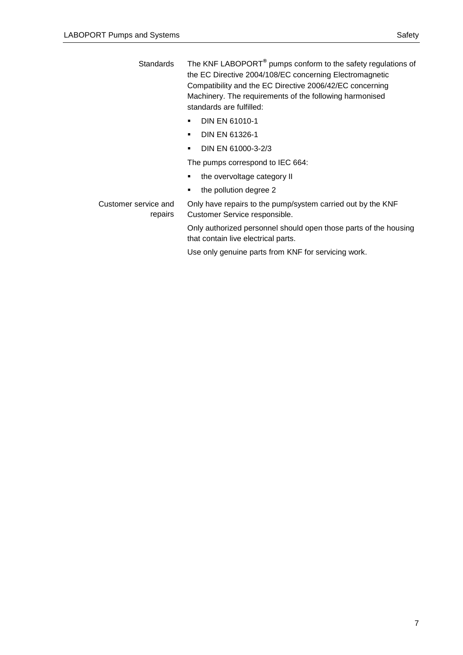The KNF LABOPORT**®** pumps conform to the safety regulations of the EC Directive 2004/108/EC concerning Electromagnetic Compatibility and the EC Directive 2006/42/EC concerning Machinery. The requirements of the following harmonised standards are fulfilled: **Standards** 

- **DIN EN 61010-1**
- **DIN EN 61326-1**
- **DIN EN 61000-3-2/3**

The pumps correspond to IEC 664:

- the overvoltage category II
- the pollution degree 2

Customer service and

repairs

Only have repairs to the pump/system carried out by the KNF Customer Service responsible. Only authorized personnel should open those parts of the housing

that contain live electrical parts.

Use only genuine parts from KNF for servicing work.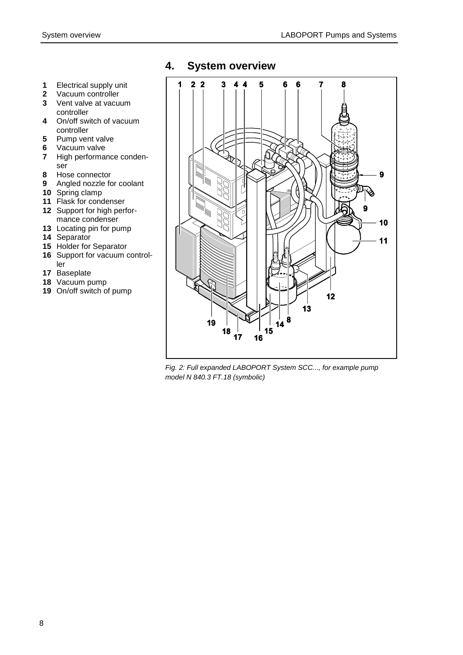- Electrical supply unit
- Vacuum controller
- Vent valve at vacuum controller
- On/off switch of vacuum controller
- Pump vent valve
- Vacuum valve
- High performance condenser
- Hose connector
- Angled nozzle for coolant
- Spring clamp
- Flask for condenser
- Support for high performance condenser
- Locating pin for pump
- Separator
- Holder for Separator
- Support for vacuum controller
- Baseplate
- Vacuum pump
- On/off switch of pump

## <span id="page-7-0"></span>**4. System overview**



<span id="page-7-1"></span>*Fig. 2: Full expanded LABOPORT System SCC..., for example pump model N 840.3 FT.18 (symbolic)*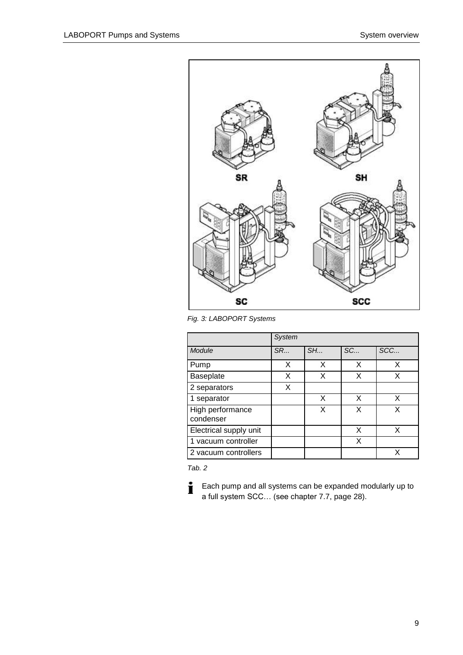

*Fig. 3: LABOPORT Systems*

|                               | <b>System</b> |    |    |     |
|-------------------------------|---------------|----|----|-----|
| Module                        | <b>SR</b>     | SH | SC | SCC |
| Pump                          | X             | X  | X  | X   |
| <b>Baseplate</b>              | X             | X  | X  | X   |
| 2 separators                  | X             |    |    |     |
| 1 separator                   |               | X  | X  | x   |
| High performance<br>condenser |               | x  | x  | x   |
| Electrical supply unit        |               |    | X  | X   |
| 1 vacuum controller           |               |    | X  |     |
| 2 vacuum controllers          |               |    |    | x   |

*Tab. 2*

 $\mathbf i$ Each pump and all systems can be expanded modularly up to a full system SCC… (see chapter [7.7,](#page-27-1) page [28\)](#page-27-1).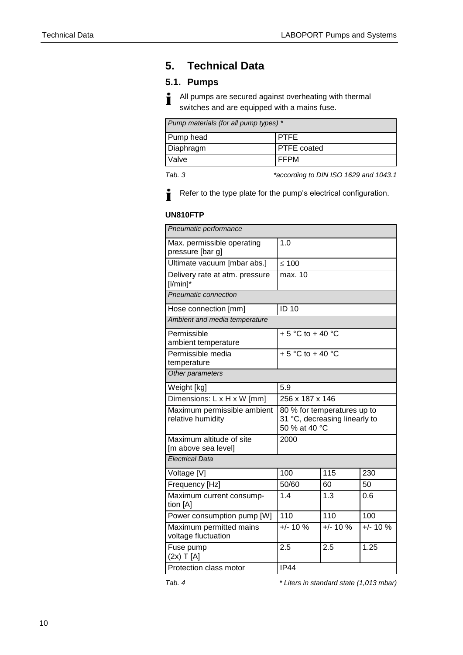## <span id="page-9-0"></span>**5. Technical Data**

#### <span id="page-9-1"></span>**5.1. Pumps**

All pumps are secured against overheating with thermal i switches and are equipped with a mains fuse.

| Pump materials (for all pump types) * |  |  |  |
|---------------------------------------|--|--|--|
| Pump head<br><b>IPTFE</b>             |  |  |  |
| Diaphragm<br><b>PTFE</b> coated       |  |  |  |
| <b>FFPM</b><br>Valve                  |  |  |  |

i.

*Tab. 3 \*according to DIN ISO 1629 and 1043.1*



#### **UN810FTP**

| Pneumatic performance                            |                                                                               |             |             |  |
|--------------------------------------------------|-------------------------------------------------------------------------------|-------------|-------------|--|
| Max. permissible operating<br>pressure [bar g]   | 1.0                                                                           |             |             |  |
| Ultimate vacuum [mbar abs.]                      | $\leq 100$                                                                    |             |             |  |
| Delivery rate at atm. pressure<br>$[1/min]$ *    | max. 10                                                                       |             |             |  |
| Pneumatic connection                             |                                                                               |             |             |  |
| Hose connection [mm]                             | <b>ID 10</b>                                                                  |             |             |  |
| Ambient and media temperature                    |                                                                               |             |             |  |
| Permissible<br>ambient temperature               | $+5$ °C to $+40$ °C                                                           |             |             |  |
| Permissible media<br>temperature                 | $+5$ °C to + 40 °C                                                            |             |             |  |
| Other parameters                                 |                                                                               |             |             |  |
| Weight [kg]                                      | 5.9                                                                           |             |             |  |
| Dimensions: L x H x W [mm]                       | 256 x 187 x 146                                                               |             |             |  |
| Maximum permissible ambient<br>relative humidity | 80 % for temperatures up to<br>31 °C, decreasing linearly to<br>50 % at 40 °C |             |             |  |
| Maximum altitude of site<br>[m above sea level]  | 2000                                                                          |             |             |  |
| <b>Electrical Data</b>                           |                                                                               |             |             |  |
| Voltage [V]                                      | 100                                                                           | 115         | 230         |  |
| Frequency [Hz]                                   | 50/60                                                                         | 60          | 50          |  |
| Maximum current consump-<br>tion [A]             | 1.4                                                                           | 1.3         | 0.6         |  |
| Power consumption pump [W]                       | 110                                                                           | 110         | 100         |  |
| Maximum permitted mains<br>voltage fluctuation   | $+/- 10 \%$                                                                   | $+/- 10 \%$ | $+/- 10 \%$ |  |
| Fuse pump<br>$(2x)$ T $[A]$                      | 2.5                                                                           | 2.5         | 1.25        |  |
| Protection class motor                           | <b>IP44</b>                                                                   |             |             |  |

*Tab. 4 \* Liters in standard state (1,013 mbar)*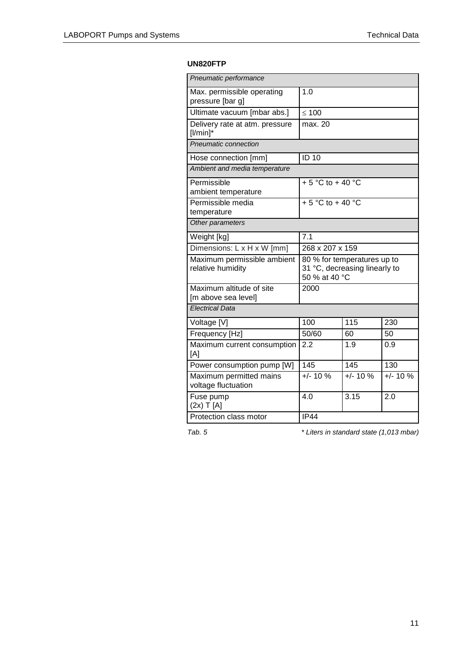#### **UN820FTP**

| Pneumatic performance                            |                                                                               |            |            |  |
|--------------------------------------------------|-------------------------------------------------------------------------------|------------|------------|--|
| Max. permissible operating<br>pressure [bar g]   | 1.0                                                                           |            |            |  |
| Ultimate vacuum [mbar abs.]                      | $\leq 100$                                                                    |            |            |  |
| Delivery rate at atm. pressure<br>$[1/min]$ *    | max. 20                                                                       |            |            |  |
| Pneumatic connection                             |                                                                               |            |            |  |
| Hose connection [mm]                             | <b>ID 10</b>                                                                  |            |            |  |
| Ambient and media temperature                    |                                                                               |            |            |  |
| Permissible<br>ambient temperature               | + 5 °C to + 40 °C                                                             |            |            |  |
| Permissible media<br>temperature                 | + 5 $^{\circ}$ C to + 40 $^{\circ}$ C                                         |            |            |  |
| Other parameters                                 |                                                                               |            |            |  |
| Weight [kg]                                      | 7.1                                                                           |            |            |  |
| Dimensions: L x H x W [mm]                       | 268 x 207 x 159                                                               |            |            |  |
| Maximum permissible ambient<br>relative humidity | 80 % for temperatures up to<br>31 °C, decreasing linearly to<br>50 % at 40 °C |            |            |  |
| Maximum altitude of site<br>[m above sea level]  | 2000                                                                          |            |            |  |
| <b>Electrical Data</b>                           |                                                                               |            |            |  |
| Voltage [V]                                      | 100                                                                           | 115        | 230        |  |
| Frequency [Hz]                                   | 50/60                                                                         | 60         | 50         |  |
| Maximum current consumption<br>[A]               | 2.2                                                                           | 1.9        | 0.9        |  |
| Power consumption pump [W]                       | 145                                                                           | 145        | 130        |  |
| Maximum permitted mains<br>voltage fluctuation   | $+/- 10 %$                                                                    | $+/- 10 %$ | $+/- 10 %$ |  |
| Fuse pump<br>$(2x)$ T [A]                        | 4.0                                                                           | 3.15       | 2.0        |  |
| Protection class motor                           | IP44                                                                          |            |            |  |

*Tab. 5 \* Liters in standard state (1,013 mbar)*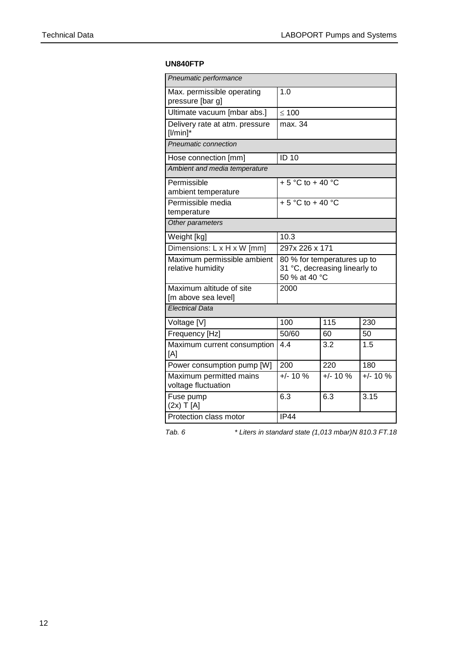#### **UN840FTP**

| Pneumatic performance                            |                                                                               |             |             |  |
|--------------------------------------------------|-------------------------------------------------------------------------------|-------------|-------------|--|
| Max. permissible operating<br>pressure [bar g]   | 1.0                                                                           |             |             |  |
| Ultimate vacuum [mbar abs.]                      | $\leq 100$                                                                    |             |             |  |
| Delivery rate at atm. pressure<br>$[1/min]$ *    | max. 34                                                                       |             |             |  |
| Pneumatic connection                             |                                                                               |             |             |  |
| Hose connection [mm]                             | <b>ID 10</b>                                                                  |             |             |  |
| Ambient and media temperature                    |                                                                               |             |             |  |
| Permissible<br>ambient temperature               | + 5 °C to + 40 °C                                                             |             |             |  |
| Permissible media<br>temperature                 | + 5 $^{\circ}$ C to + 40 $^{\circ}$ C                                         |             |             |  |
| Other parameters                                 |                                                                               |             |             |  |
| Weight [kg]                                      | 10.3                                                                          |             |             |  |
| Dimensions: L x H x W [mm]                       | 297x 226 x 171                                                                |             |             |  |
| Maximum permissible ambient<br>relative humidity | 80 % for temperatures up to<br>31 °C, decreasing linearly to<br>50 % at 40 °C |             |             |  |
| Maximum altitude of site<br>[m above sea level]  | 2000                                                                          |             |             |  |
| <b>Electrical Data</b>                           |                                                                               |             |             |  |
| Voltage [V]                                      | 100                                                                           | 115         | 230         |  |
| Frequency [Hz]                                   | 50/60                                                                         | 60          | 50          |  |
| Maximum current consumption<br>[A]               | 4.4                                                                           | 3.2         | 1.5         |  |
| Power consumption pump [W]                       | 200                                                                           | 220         | 180         |  |
| Maximum permitted mains<br>voltage fluctuation   | $+/- 10 \%$                                                                   | $+/- 10 \%$ | $+/- 10 \%$ |  |
| Fuse pump<br>$(2x)$ T [A]                        | 6.3                                                                           | 6.3         | 3.15        |  |
| Protection class motor                           | <b>IP44</b>                                                                   |             |             |  |

*Tab. 6 \* Liters in standard state (1,013 mbar)N 810.3 FT.18*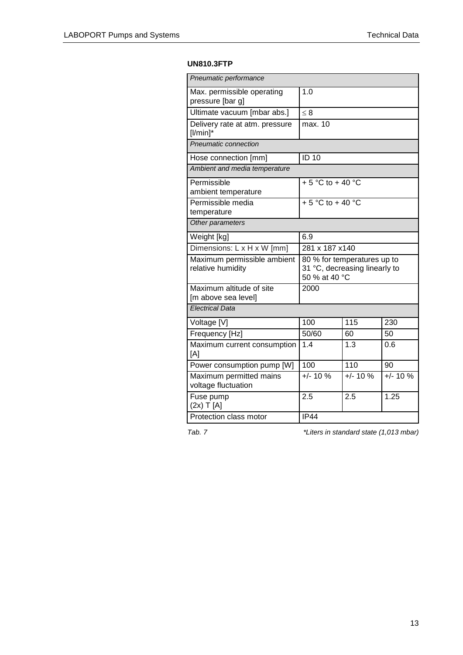#### **UN810.3FTP**

| Pneumatic performance                            |                                                                               |            |            |  |
|--------------------------------------------------|-------------------------------------------------------------------------------|------------|------------|--|
| Max. permissible operating<br>pressure [bar g]   | 1.0                                                                           |            |            |  |
| Ultimate vacuum [mbar abs.]                      | $\leq 8$                                                                      |            |            |  |
| Delivery rate at atm. pressure<br>$[1/min]$ *    | max. 10                                                                       |            |            |  |
| Pneumatic connection                             |                                                                               |            |            |  |
| Hose connection [mm]                             | <b>ID 10</b>                                                                  |            |            |  |
| Ambient and media temperature                    |                                                                               |            |            |  |
| Permissible<br>ambient temperature               | + 5 °C to + 40 °C                                                             |            |            |  |
| Permissible media<br>temperature                 | $+5^{\circ}$ C to +40 $^{\circ}$ C                                            |            |            |  |
| Other parameters                                 |                                                                               |            |            |  |
| Weight [kg]                                      | 6.9                                                                           |            |            |  |
| Dimensions: L x H x W [mm]                       | 281 x 187 x140                                                                |            |            |  |
| Maximum permissible ambient<br>relative humidity | 80 % for temperatures up to<br>31 °C, decreasing linearly to<br>50 % at 40 °C |            |            |  |
| Maximum altitude of site<br>[m above sea level]  | 2000                                                                          |            |            |  |
| <b>Electrical Data</b>                           |                                                                               |            |            |  |
| Voltage [V]                                      | 100                                                                           | 115        | 230        |  |
| Frequency [Hz]                                   | 50/60                                                                         | 60         | 50         |  |
| Maximum current consumption<br>[A]               | 1.4                                                                           | 1.3        | 0.6        |  |
| Power consumption pump [W]                       | 100                                                                           | 110        | 90         |  |
| Maximum permitted mains<br>voltage fluctuation   | $+/- 10 %$                                                                    | $+/- 10 %$ | $+/- 10 %$ |  |
| Fuse pump<br>$(2x)$ T [A]                        | 2.5                                                                           | 2.5        | 1.25       |  |
| Protection class motor                           | IP44                                                                          |            |            |  |

*Tab. 7 \*Liters in standard state (1,013 mbar)*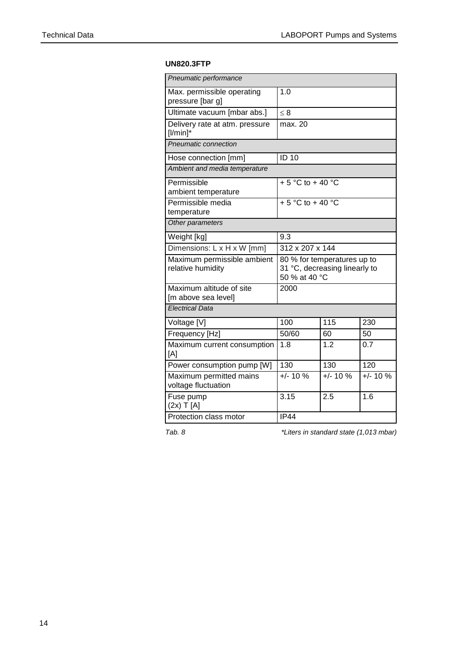#### **UN820.3FTP**

| Pneumatic performance                            |                                                                               |             |             |  |
|--------------------------------------------------|-------------------------------------------------------------------------------|-------------|-------------|--|
| Max. permissible operating<br>pressure [bar g]   | 1.0                                                                           |             |             |  |
| Ultimate vacuum [mbar abs.]                      | $\leq 8$                                                                      |             |             |  |
| Delivery rate at atm. pressure<br>$[1/min]$ *    | max. 20                                                                       |             |             |  |
| Pneumatic connection                             |                                                                               |             |             |  |
| Hose connection [mm]                             | <b>ID 10</b>                                                                  |             |             |  |
| Ambient and media temperature                    |                                                                               |             |             |  |
| Permissible<br>ambient temperature               | + 5 $^{\circ}$ C to + 40 $^{\circ}$ C                                         |             |             |  |
| Permissible media<br>temperature                 | + 5 °C to + 40 °C                                                             |             |             |  |
| Other parameters                                 |                                                                               |             |             |  |
| Weight [kg]                                      | 9.3                                                                           |             |             |  |
| Dimensions: L x H x W [mm]                       | 312 x 207 x 144                                                               |             |             |  |
| Maximum permissible ambient<br>relative humidity | 80 % for temperatures up to<br>31 °C, decreasing linearly to<br>50 % at 40 °C |             |             |  |
| Maximum altitude of site<br>[m above sea level]  | 2000                                                                          |             |             |  |
| <b>Electrical Data</b>                           |                                                                               |             |             |  |
| Voltage [V]                                      | 100                                                                           | 115         | 230         |  |
| Frequency [Hz]                                   | 50/60                                                                         | 60          | 50          |  |
| Maximum current consumption<br>[A]               | 1.8                                                                           | 1.2         | 0.7         |  |
| Power consumption pump [W]                       | 130                                                                           | 130         | 120         |  |
| Maximum permitted mains<br>voltage fluctuation   | $+/- 10 \%$                                                                   | $+/- 10 \%$ | $+/- 10 \%$ |  |
| Fuse pump<br>$(2x)$ T [A]                        | 3.15                                                                          | 2.5         | 1.6         |  |
| Protection class motor<br>IP44                   |                                                                               |             |             |  |

*Tab. 8 \*Liters in standard state (1,013 mbar)*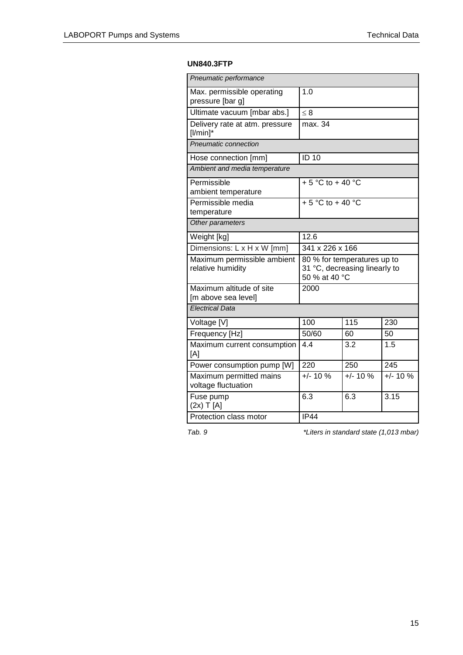#### **UN840.3FTP**

| Pneumatic performance                            |                                                                               |            |            |
|--------------------------------------------------|-------------------------------------------------------------------------------|------------|------------|
| Max. permissible operating<br>pressure [bar g]   | 1.0                                                                           |            |            |
| Ultimate vacuum [mbar abs.]                      | $\leq 8$                                                                      |            |            |
| Delivery rate at atm. pressure<br>$[1/min]$ *    | max. 34                                                                       |            |            |
| Pneumatic connection                             |                                                                               |            |            |
| Hose connection [mm]                             | <b>ID 10</b>                                                                  |            |            |
| Ambient and media temperature                    |                                                                               |            |            |
| Permissible<br>ambient temperature               | $+5$ °C to $+40$ °C                                                           |            |            |
| Permissible media<br>temperature                 | $+5$ °C to + 40 °C                                                            |            |            |
| Other parameters                                 |                                                                               |            |            |
| Weight [kg]                                      | 12.6                                                                          |            |            |
| Dimensions: L x H x W [mm]                       | 341 x 226 x 166                                                               |            |            |
| Maximum permissible ambient<br>relative humidity | 80 % for temperatures up to<br>31 °C, decreasing linearly to<br>50 % at 40 °C |            |            |
| Maximum altitude of site<br>[m above sea level]  | 2000                                                                          |            |            |
| <b>Electrical Data</b>                           |                                                                               |            |            |
| Voltage [V]                                      | 100                                                                           | 115        | 230        |
| Frequency [Hz]                                   | 50/60                                                                         | 60         | 50         |
| Maximum current consumption<br>[A]               | 4.4                                                                           | 3.2        | 1.5        |
| Power consumption pump [W]                       | 220                                                                           | 250        | 245        |
| Maximum permitted mains<br>voltage fluctuation   | $+/- 10 %$                                                                    | $+/- 10 %$ | $+/- 10 %$ |
| Fuse pump<br>$(2x)$ T [A]                        | 6.3                                                                           | 6.3        | 3.15       |
| Protection class motor                           | IP44                                                                          |            |            |

*Tab. 9 \*Liters in standard state (1,013 mbar)*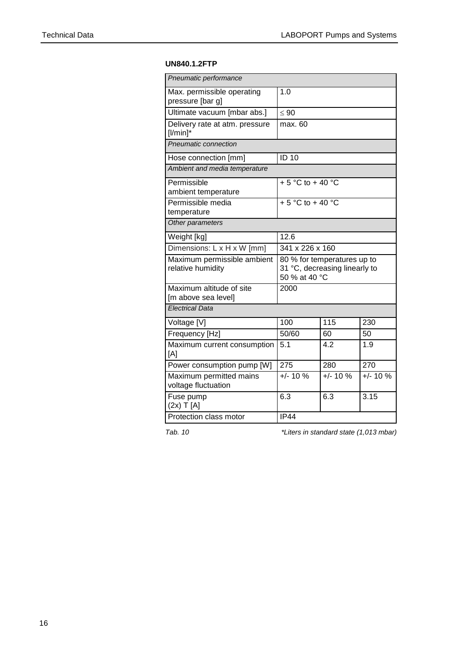#### **UN840.1.2FTP**

| Pneumatic performance                            |                                                                               |             |             |  |
|--------------------------------------------------|-------------------------------------------------------------------------------|-------------|-------------|--|
| Max. permissible operating<br>pressure [bar g]   | 1.0                                                                           |             |             |  |
| Ultimate vacuum [mbar abs.]                      | $\leq 90$                                                                     |             |             |  |
| Delivery rate at atm. pressure<br>$[1/min]$ *    | max. 60                                                                       |             |             |  |
| Pneumatic connection                             |                                                                               |             |             |  |
| Hose connection [mm]                             | <b>ID 10</b>                                                                  |             |             |  |
| Ambient and media temperature                    |                                                                               |             |             |  |
| Permissible<br>ambient temperature               | + 5 $^{\circ}$ C to + 40 $^{\circ}$ C                                         |             |             |  |
| Permissible media<br>temperature                 | $+5$ °C to + 40 °C                                                            |             |             |  |
| Other parameters                                 |                                                                               |             |             |  |
| Weight [kg]                                      | 12.6                                                                          |             |             |  |
| Dimensions: L x H x W [mm]                       | 341 x 226 x 160                                                               |             |             |  |
| Maximum permissible ambient<br>relative humidity | 80 % for temperatures up to<br>31 °C, decreasing linearly to<br>50 % at 40 °C |             |             |  |
| Maximum altitude of site<br>[m above sea level]  | 2000                                                                          |             |             |  |
| <b>Electrical Data</b>                           |                                                                               |             |             |  |
| Voltage [V]                                      | 100                                                                           | 115         | 230         |  |
| Frequency [Hz]                                   | 50/60                                                                         | 60          | 50          |  |
| Maximum current consumption<br>[A]               | 5.1                                                                           | 4.2         | 1.9         |  |
| Power consumption pump [W]                       | 275                                                                           | 280         | 270         |  |
| Maximum permitted mains<br>voltage fluctuation   | $+/- 10 \%$                                                                   | $+/- 10 \%$ | $+/- 10 \%$ |  |
| Fuse pump<br>$(2x)$ T [A]                        | 6.3                                                                           | 6.3         | 3.15        |  |
| Protection class motor                           | IP44                                                                          |             |             |  |

*Tab. 10 \*Liters in standard state (1,013 mbar)*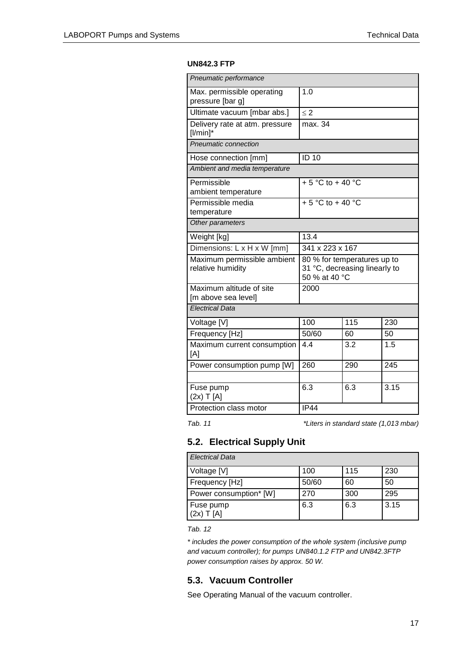#### **UN842.3 FTP**

| Pneumatic performance                            |                                                                               |     |      |
|--------------------------------------------------|-------------------------------------------------------------------------------|-----|------|
| Max. permissible operating<br>pressure [bar g]   | 1.0                                                                           |     |      |
| Ultimate vacuum [mbar abs.]                      | $\leq$ 2                                                                      |     |      |
| Delivery rate at atm. pressure<br>$[1/min]$ *    | max. 34                                                                       |     |      |
| Pneumatic connection                             |                                                                               |     |      |
| Hose connection [mm]                             | <b>ID 10</b>                                                                  |     |      |
| Ambient and media temperature                    |                                                                               |     |      |
| Permissible<br>ambient temperature               | + 5 °C to + 40 °C                                                             |     |      |
| Permissible media<br>temperature                 | $+5$ °C to + 40 °C                                                            |     |      |
| Other parameters                                 |                                                                               |     |      |
| Weight [kg]                                      | 13.4                                                                          |     |      |
| Dimensions: L x H x W [mm]                       | 341 x 223 x 167                                                               |     |      |
| Maximum permissible ambient<br>relative humidity | 80 % for temperatures up to<br>31 °C, decreasing linearly to<br>50 % at 40 °C |     |      |
| Maximum altitude of site<br>[m above sea level]  | 2000                                                                          |     |      |
| <b>Electrical Data</b>                           |                                                                               |     |      |
| Voltage [V]                                      | 100                                                                           | 115 | 230  |
| Frequency [Hz]                                   | 50/60                                                                         | 60  | 50   |
| Maximum current consumption<br>[A]               | 4.4                                                                           | 3.2 | 1.5  |
| Power consumption pump [W]                       | 260                                                                           | 290 | 245  |
|                                                  |                                                                               |     |      |
| Fuse pump<br>$(2x)$ T [A]                        | 6.3                                                                           | 6.3 | 3.15 |
| Protection class motor                           | IP44                                                                          |     |      |

*Tab. 11 \*Liters in standard state (1,013 mbar)*

#### <span id="page-16-0"></span>**5.2. Electrical Supply Unit**

| <b>Flectrical Data</b>    |       |     |      |
|---------------------------|-------|-----|------|
| Voltage [V]               | 100   | 115 | 230  |
| Frequency [Hz]            | 50/60 | 60  | 50   |
| Power consumption* [W]    | 270   | 300 | 295  |
| Fuse pump<br>$(2x)$ T [A] | 6.3   | 6.3 | 3.15 |

*Tab. 12*

*\* includes the power consumption of the whole system (inclusive pump and vacuum controller); for pumps UN840.1.2 FTP and UN842.3FTP power consumption raises by approx. 50 W.*

## <span id="page-16-1"></span>**5.3. Vacuum Controller**

See Operating Manual of the vacuum controller.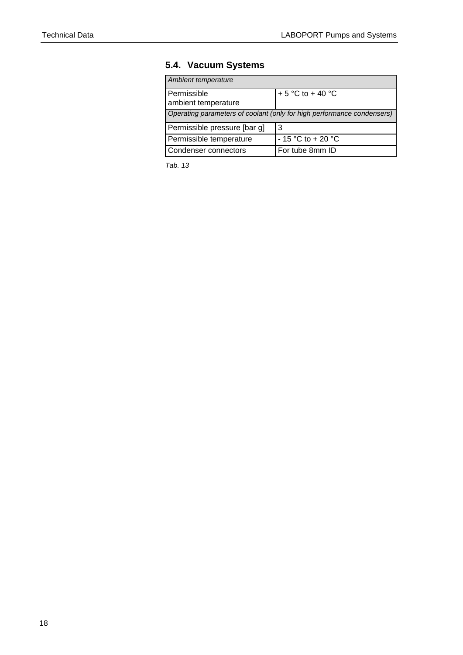## <span id="page-17-0"></span>**5.4. Vacuum Systems**

| Ambient temperature                                                    |                      |
|------------------------------------------------------------------------|----------------------|
| Permissible<br>ambient temperature                                     | + 5 °C to + 40 °C    |
| Operating parameters of coolant (only for high performance condensers) |                      |
| Permissible pressure [bar g]                                           | 3                    |
| Permissible temperature                                                | $-15$ °C to $+20$ °C |
| Condenser connectors                                                   | For tube 8mm ID      |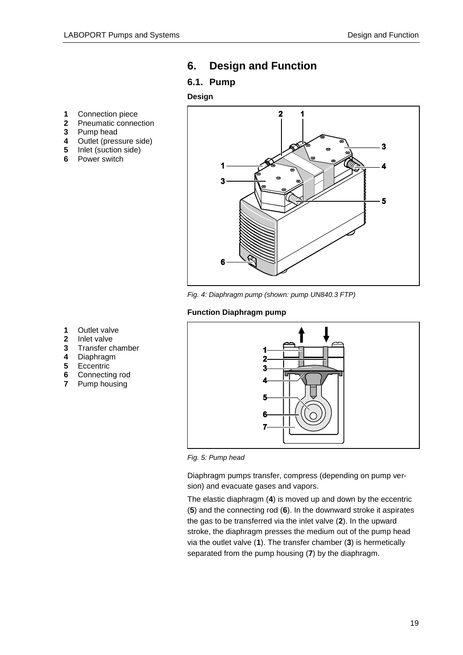- <span id="page-18-0"></span>**6. Design and Function**
- <span id="page-18-1"></span>**6.1. Pump**

#### **Design**

- **1** Connection piece<br>**2** Pneumatic conner
- **2** Pneumatic connection<br>**3** Pump head
- **3** Pump head
- **4** Outlet (pressure side)
- **5** Inlet (suction side)
- **6** Power switch



*Fig. 4: Diaphragm pump (shown: pump UN840.3 FTP)*

#### **Function Diaphragm pump**

- **1** Outlet valve
- **2** Inlet valve
- **3** Transfer chamber
- **4** Diaphragm
- **5** Eccentric
- **6** Connecting rod
- **7** Pump housing



*Fig. 5: Pump head*

Diaphragm pumps transfer, compress (depending on pump version) and evacuate gases and vapors.

The elastic diaphragm (**4**) is moved up and down by the eccentric (**5**) and the connecting rod (**6**). In the downward stroke it aspirates the gas to be transferred via the inlet valve (**2**). In the upward stroke, the diaphragm presses the medium out of the pump head via the outlet valve (**1**). The transfer chamber (**3**) is hermetically separated from the pump housing (**7**) by the diaphragm.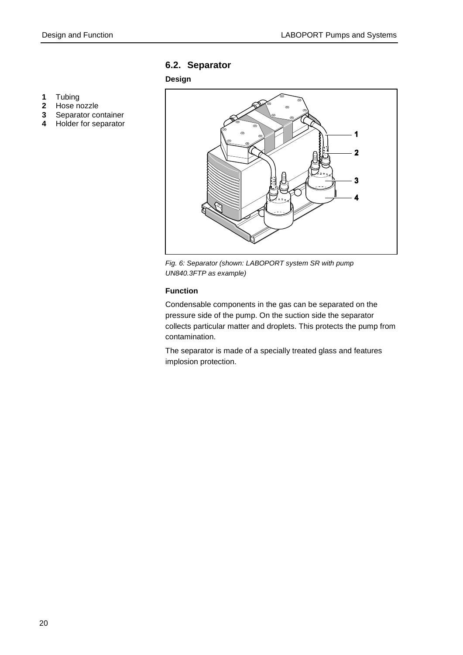## <span id="page-19-0"></span>**6.2. Separator**

#### **Design**



- **2** Hose nozzle
- **3** Separator container
- **4** Holder for separator



*Fig. 6: Separator (shown: LABOPORT system SR with pump UN840.3FTP as example)*

#### **Function**

Condensable components in the gas can be separated on the pressure side of the pump. On the suction side the separator collects particular matter and droplets. This protects the pump from contamination.

The separator is made of a specially treated glass and features implosion protection.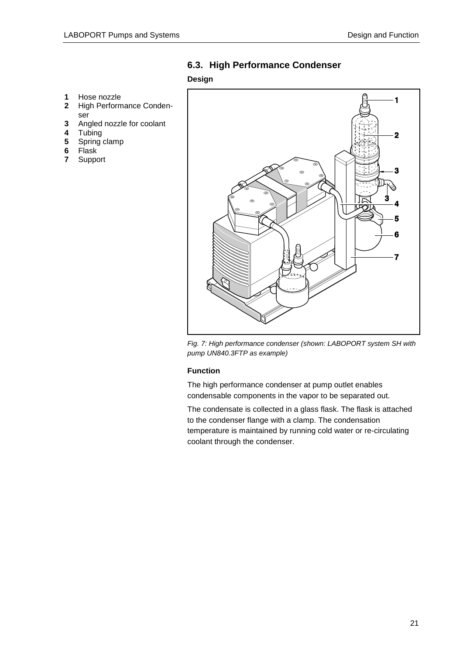## <span id="page-20-0"></span>**6.3. High Performance Condenser**

#### **Design**

- **1** Hose nozzle
- **2** High Performance Condenser
- **3** Angled nozzle for coolant
- 
- **4** Tubing **5** Spring clamp
- **6** Flask
- **7** Support



*Fig. 7: High performance condenser (shown: LABOPORT system SH with pump UN840.3FTP as example)*

#### **Function**

The high performance condenser at pump outlet enables condensable components in the vapor to be separated out.

The condensate is collected in a glass flask. The flask is attached to the condenser flange with a clamp. The condensation temperature is maintained by running cold water or re-circulating coolant through the condenser.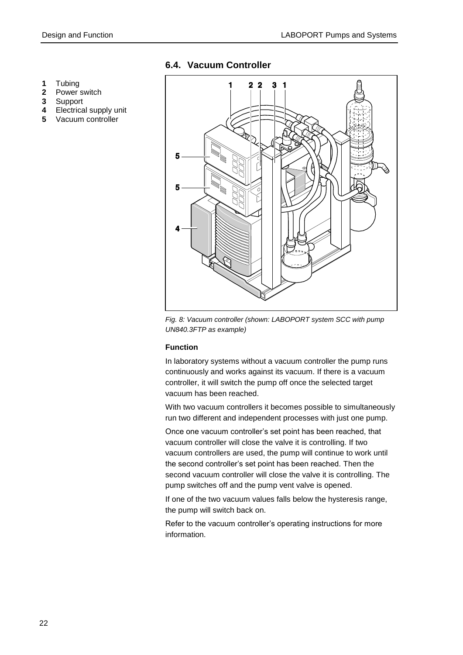- **1** Tubing
- **2** Power switch
- **3** Support
- **4** Electrical supply unit
- **5** Vacuum controller

#### <span id="page-21-0"></span>**6.4. Vacuum Controller**



*Fig. 8: Vacuum controller (shown: LABOPORT system SCC with pump UN840.3FTP as example)*

#### **Function**

In laboratory systems without a vacuum controller the pump runs continuously and works against its vacuum. If there is a vacuum controller, it will switch the pump off once the selected target vacuum has been reached.

With two vacuum controllers it becomes possible to simultaneously run two different and independent processes with just one pump.

Once one vacuum controller's set point has been reached, that vacuum controller will close the valve it is controlling. If two vacuum controllers are used, the pump will continue to work until the second controller's set point has been reached. Then the second vacuum controller will close the valve it is controlling. The pump switches off and the pump vent valve is opened.

If one of the two vacuum values falls below the hysteresis range, the pump will switch back on.

Refer to the vacuum controller's operating instructions for more information.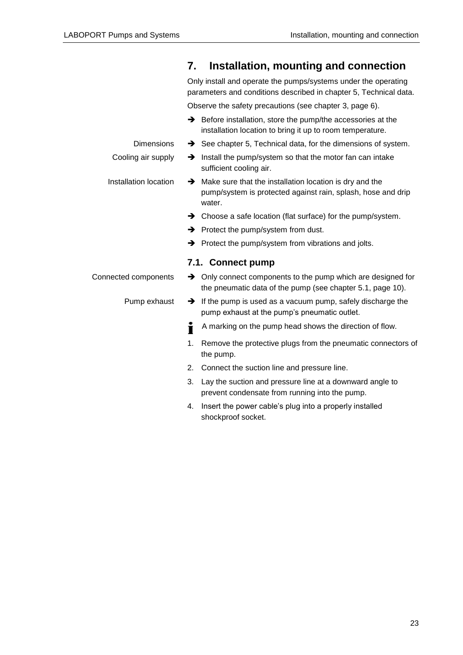<span id="page-22-1"></span><span id="page-22-0"></span>

|                       | 7. | Installation, mounting and connection                                                                                                           |
|-----------------------|----|-------------------------------------------------------------------------------------------------------------------------------------------------|
|                       |    | Only install and operate the pumps/systems under the operating<br>parameters and conditions described in chapter 5, Technical data.             |
|                       |    | Observe the safety precautions (see chapter 3, page 6).                                                                                         |
|                       |    | $\rightarrow$ Before installation, store the pump/the accessories at the<br>installation location to bring it up to room temperature.           |
| <b>Dimensions</b>     |    | $\rightarrow$ See chapter 5, Technical data, for the dimensions of system.                                                                      |
| Cooling air supply    |    | $\rightarrow$ Install the pump/system so that the motor fan can intake<br>sufficient cooling air.                                               |
| Installation location |    | $\rightarrow$ Make sure that the installation location is dry and the<br>pump/system is protected against rain, splash, hose and drip<br>water. |
|                       |    | $\rightarrow$ Choose a safe location (flat surface) for the pump/system.                                                                        |
|                       |    | $\rightarrow$ Protect the pump/system from dust.                                                                                                |
|                       |    | $\rightarrow$ Protect the pump/system from vibrations and jolts.                                                                                |
|                       |    | 7.1. Connect pump                                                                                                                               |
| Connected components  |    | $\rightarrow$ Only connect components to the pump which are designed for<br>the pneumatic data of the pump (see chapter 5.1, page 10).          |
| Pump exhaust          |    | $\rightarrow$ If the pump is used as a vacuum pump, safely discharge the<br>pump exhaust at the pump's pneumatic outlet.                        |
|                       | Ť  | A marking on the pump head shows the direction of flow.                                                                                         |
|                       | 1. | Remove the protective plugs from the pneumatic connectors of<br>the pump.                                                                       |
|                       | 2. | Connect the suction line and pressure line.                                                                                                     |
|                       | 3. | Lay the suction and pressure line at a downward angle to<br>prevent condensate from running into the pump.                                      |
|                       | 4. | Insert the power cable's plug into a properly installed<br>shockproof socket.                                                                   |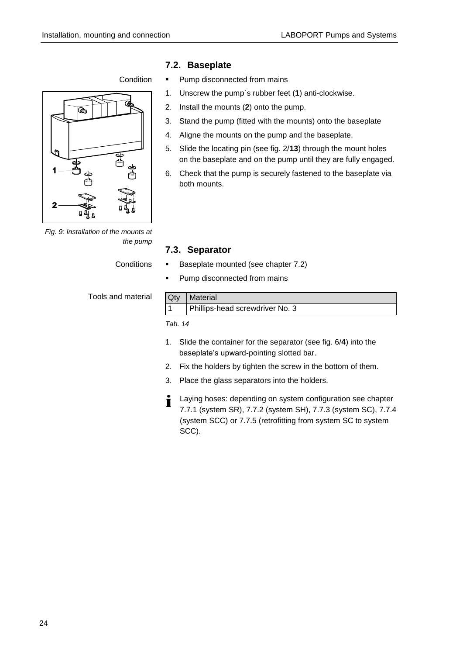#### **Condition**



*Fig. 9: Installation of the mounts at the pump*

**Conditions** 

Tools and material

#### <span id="page-23-0"></span>**7.2. Baseplate**

- **Pump disconnected from mains**
- 1. Unscrew the pump`s rubber feet (**1**) anti-clockwise.
- 2. Install the mounts (**2**) onto the pump.
- 3. Stand the pump (fitted with the mounts) onto the baseplate
- 4. Aligne the mounts on the pump and the baseplate.
- 5. Slide the locating pin (see fig. 2/**13**) through the mount holes on the baseplate and on the pump until they are fully engaged.
- 6. Check that the pump is securely fastened to the baseplate via both mounts.

#### <span id="page-23-1"></span>**7.3. Separator**

- Baseplate mounted (see chapter 7.2)
- **Pump disconnected from mains**

## $Q_t$ , Materia

| <b>Qly I</b> Malerial           |
|---------------------------------|
| Phillips-head screwdriver No. 3 |
|                                 |

- 1. Slide the container for the separator (see fig. 6/**4**) into the baseplate's upward-pointing slotted bar.
- 2. Fix the holders by tighten the screw in the bottom of them.
- 3. Place the glass separators into the holders.
- Laying hoses: depending on system configuration see chapter Ť 7.7.1 (system SR), 7.7.2 (system SH), 7.7.3 (system SC), 7.7.4 (system SCC) or 7.7.5 (retrofitting from system SC to system SCC).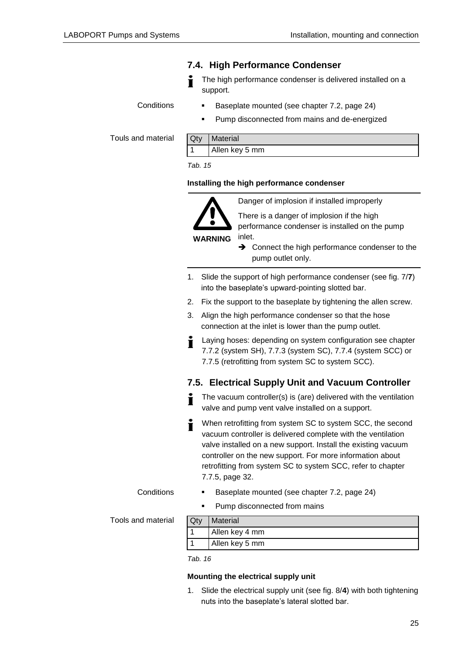#### <span id="page-24-0"></span>**7.4. High Performance Condenser**

The high performance condenser is delivered installed on a support.

**Conditions** 

- Baseplate mounted (see chapter 7.2, page [24\)](#page-23-0)
- Pump disconnected from mains and de-energized

Touls and material

| Qty | Material       |
|-----|----------------|
|     | Allen key 5 mm |

*Tab. 15*

#### **Installing the high performance condenser**



There is a danger of implosion if the high performance condenser is installed on the pump

inlet.

Danger of implosion if installed improperly

- **→** Connect the high performance condenser to the pump outlet only.
- 1. Slide the support of high performance condenser (see fig. 7/**7**) into the baseplate's upward-pointing slotted bar.
- 2. Fix the support to the baseplate by tightening the allen screw.
- 3. Align the high performance condenser so that the hose connection at the inlet is lower than the pump outlet.
- Laying hoses: depending on system configuration see chapter Т 7.7.2 (system SH), 7.7.3 (system SC), 7.7.4 (system SCC) or 7.7.5 (retrofitting from system SC to system SCC).

#### <span id="page-24-1"></span>**7.5. Electrical Supply Unit and Vacuum Controller**

- The vacuum controller(s) is (are) delivered with the ventilation valve and pump vent valve installed on a support.
- When retrofitting from system SC to system SCC, the second Т vacuum controller is delivered complete with the ventilation valve installed on a new support. Install the existing vacuum controller on the new support. For more information about retrofitting from system SC to system SCC, refer to chapter 7.7.5, page [32.](#page-31-0)

**Conditions** 

- Baseplate mounted (see chapter 7.2, page [24\)](#page-23-0)
- Pump disconnected from mains

Tools and material

| Qty | Material       |
|-----|----------------|
|     | Allen key 4 mm |
|     | Allen key 5 mm |

*Tab. 16*

#### **Mounting the electrical supply unit**

1. Slide the electrical supply unit (see fig. 8/**4**) with both tightening nuts into the baseplate's lateral slotted bar.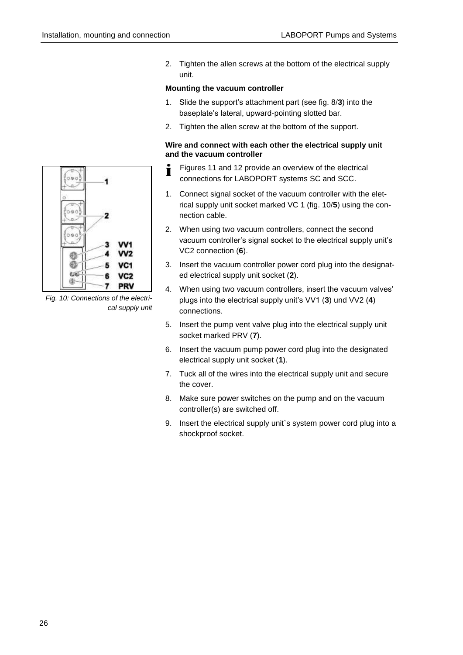2. Tighten the allen screws at the bottom of the electrical supply unit.

#### **Mounting the vacuum controller**

- 1. Slide the support's attachment part (see fig. 8/**3**) into the baseplate's lateral, upward-pointing slotted bar.
- 2. Tighten the allen screw at the bottom of the support.

#### **Wire and connect with each other the electrical supply unit and the vacuum controller**

- Figures 11 and 12 provide an overview of the electrical Т connections for LABOPORT systems SC and SCC.
- 1. Connect signal socket of the vacuum controller with the eletrical supply unit socket marked VC 1 (fig. 10/**5**) using the connection cable.
- 2. When using two vacuum controllers, connect the second vacuum controller's signal socket to the electrical supply unit's VC2 connection (**6**).
- 3. Insert the vacuum controller power cord plug into the designated electrical supply unit socket (**2**).
- 4. When using two vacuum controllers, insert the vacuum valves' plugs into the electrical supply unit's VV1 (**3**) und VV2 (**4**) connections.
- 5. Insert the pump vent valve plug into the electrical supply unit socket marked PRV (**7**).
- 6. Insert the vacuum pump power cord plug into the designated electrical supply unit socket (**1**).
- 7. Tuck all of the wires into the electrical supply unit and secure the cover.
- 8. Make sure power switches on the pump and on the vacuum controller(s) are switched off.
- 9. Insert the electrical supply unit is system power cord plug into a shockproof socket.



<span id="page-25-0"></span>*Fig. 10: Connections of the electrical supply unit*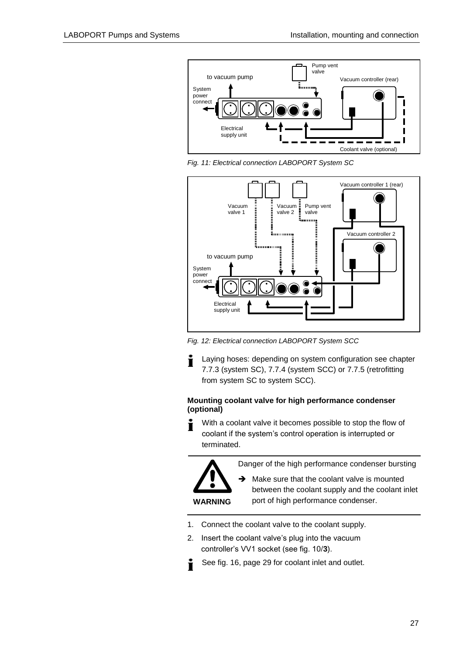

*Fig. 11: Electrical connection LABOPORT System SC*



*Fig. 12: Electrical connection LABOPORT System SCC*

Laying hoses: depending on system configuration see chapter Ť 7.7.3 (system SC), 7.7.4 (system SCC) or 7.7.5 (retrofitting from system SC to system SCC).

#### **Mounting coolant valve for high performance condenser (optional)**

With a coolant valve it becomes possible to stop the flow of coolant if the system's control operation is interrupted or terminated.



 $\rightarrow$  Make sure that the coolant valve is mounted between the coolant supply and the coolant inlet port of high performance condenser.

1. Connect the coolant valve to the coolant supply.

**WARNING**

- 2. Insert the coolant valve's plug into the vacuum controller's VV1 socket (see fig. 10/**3**).
- See fig. 16, page [29](#page-28-1) for coolant inlet and outlet. Ť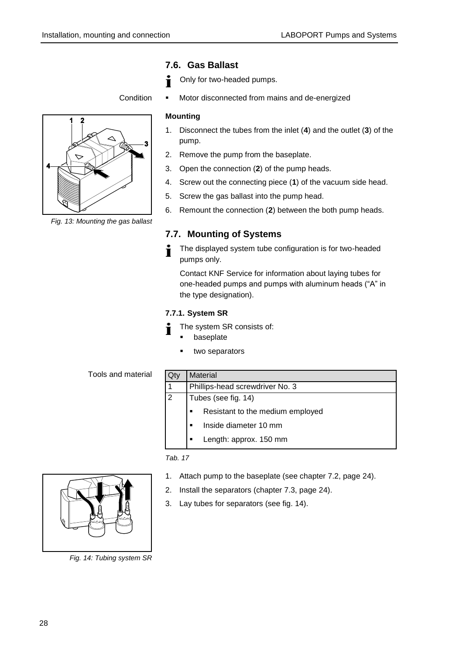#### <span id="page-27-0"></span>**7.6. Gas Ballast**

- Only for two-headed pumps.
- **Condition**

#### **Mounting**

1. Disconnect the tubes from the inlet (**4**) and the outlet (**3**) of the pump.

Motor disconnected from mains and de-energized

- 2. Remove the pump from the baseplate.
- 3. Open the connection (**2**) of the pump heads.
- 4. Screw out the connecting piece (**1**) of the vacuum side head.
- 5. Screw the gas ballast into the pump head.
- 6. Remount the connection (**2**) between the both pump heads.

#### <span id="page-27-1"></span>**7.7. Mounting of Systems**

The displayed system tube configuration is for two-headed pumps only.

Contact KNF Service for information about laying tubes for one-headed pumps and pumps with aluminum heads ("A" in the type designation).

#### <span id="page-27-2"></span>**7.7.1. System SR**

- The system SR consists of:
	- baseplate
		- two separators

Tools and material

| Qty          | <b>Material</b>                  |  |
|--------------|----------------------------------|--|
| $\mathbf{1}$ | Phillips-head screwdriver No. 3  |  |
| 2            | Tubes (see fig. 14)              |  |
|              | Resistant to the medium employed |  |
|              | Inside diameter 10 mm            |  |
|              | Length: approx. 150 mm           |  |

- 1. Attach pump to the baseplate (see chapter 7.2, page [24\)](#page-23-0).
- 2. Install the separators (chapter 7.3, page [24\)](#page-23-1).
- 3. Lay tubes for separators (see fig. 14).



*Fig. 14: Tubing system SR*



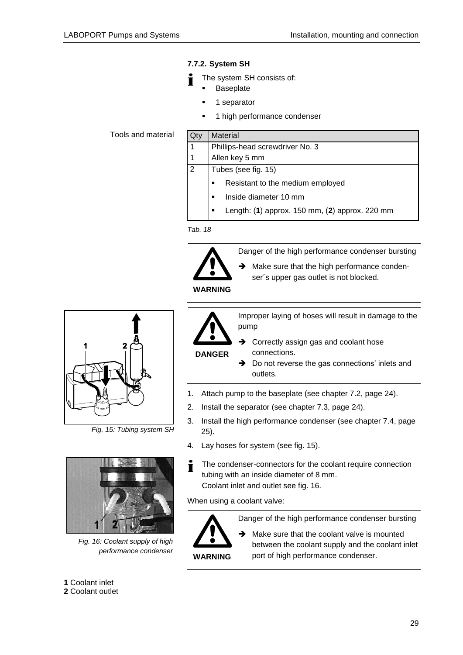#### <span id="page-28-0"></span>**7.7.2. System SH**

- The system SH consists of:
	- Baseplate
		- 1 separator
		- 1 high performance condenser

Tools and material

| <b>Material</b>                                     |  |  |  |
|-----------------------------------------------------|--|--|--|
| Phillips-head screwdriver No. 3                     |  |  |  |
| Allen key 5 mm                                      |  |  |  |
| Tubes (see fig. 15)                                 |  |  |  |
| Resistant to the medium employed<br>$\blacksquare$  |  |  |  |
| Inside diameter 10 mm<br>$\blacksquare$             |  |  |  |
| Length: (1) approx. 150 mm, (2) approx. 220 mm<br>п |  |  |  |
|                                                     |  |  |  |

*Tab. 18*



Danger of the high performance condenser bursting

 $\rightarrow$  Make sure that the high performance condenser´s upper gas outlet is not blocked.

**WARNING**

**DANGER**

Improper laying of hoses will result in damage to the pump

- **→** Correctly assign gas and coolant hose connections.
- → Do not reverse the gas connections' inlets and outlets.
- 1. Attach pump to the baseplate (see chapter 7.2, page [24\)](#page-23-0).
- 2. Install the separator (see chapter 7.3, page [24\)](#page-23-1).
- 3. Install the high performance condenser (see chapter 7.4, page [25\)](#page-24-0).
- 4. Lay hoses for system (see fig. 15).
- i The condenser-connectors for the coolant require connection tubing with an inside diameter of 8 mm. Coolant inlet and outlet see fig. 16.

When using a coolant valve:



Danger of the high performance condenser bursting

 $\rightarrow$  Make sure that the coolant valve is mounted between the coolant supply and the coolant inlet port of high performance condenser.



*Fig. 15: Tubing system SH*



*Fig. 16: Coolant supply of high performance condenser*

<span id="page-28-1"></span>**1** Coolant inlet **2** Coolant outlet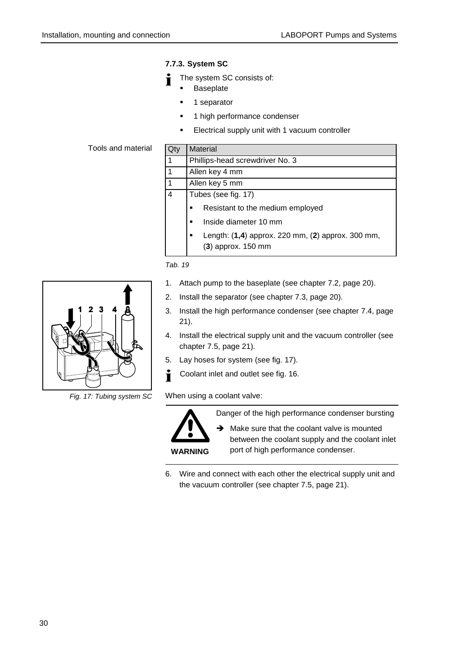#### <span id="page-29-0"></span>**7.7.3. System SC**

- The system SC consists of:
- Baseplate
	- **1** separator
	- 1 high performance condenser
	- **Electrical supply unit with 1 vacuum controller**

#### Tools and material

| Qtv | <b>Material</b>                                                           |  |
|-----|---------------------------------------------------------------------------|--|
|     | Phillips-head screwdriver No. 3                                           |  |
|     | Allen key 4 mm                                                            |  |
|     | Allen key 5 mm                                                            |  |
| 4   | Tubes (see fig. 17)                                                       |  |
|     | Resistant to the medium employed                                          |  |
|     | Inside diameter 10 mm<br>٠                                                |  |
|     | Length: (1,4) approx. 220 mm, (2) approx. 300 mm,<br>$(3)$ approx. 150 mm |  |

*Tab. 19*

- 1. Attach pump to the baseplate (see chapter 7.2, page 20).
- 2. Install the separator (see chapter 7.3, page 20).
- 3. Install the high performance condenser (see chapter 7.4, page 21).
- 4. Install the electrical supply unit and the vacuum controller (see chapter 7.5, page 21).
- 5. Lay hoses for system (see fig. 17).
- i Coolant inlet and outlet see fig. 16.

When using a coolant valve:



Danger of the high performance condenser bursting

 $\rightarrow$  Make sure that the coolant valve is mounted between the coolant supply and the coolant inlet port of high performance condenser.

6. Wire and connect with each other the electrical supply unit and the vacuum controller (see chapter 7.5, page 21).



*Fig. 17: Tubing system SC*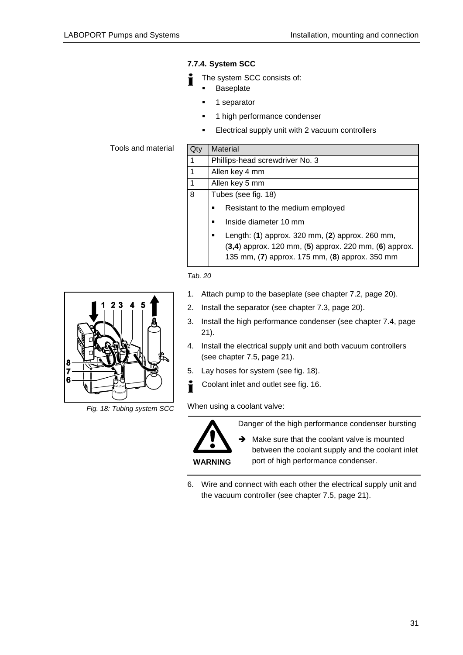#### <span id="page-30-0"></span>**7.7.4. System SCC**

- The system SCC consists of:
	- Baseplate
		- **1** separator
	- 1 high performance condenser
	- Electrical supply unit with 2 vacuum controllers

Tools and material

| Qty            | <b>Material</b>                                                                                                                                                  |  |
|----------------|------------------------------------------------------------------------------------------------------------------------------------------------------------------|--|
| 1              | Phillips-head screwdriver No. 3                                                                                                                                  |  |
| $\vert$ 1      | Allen key 4 mm                                                                                                                                                   |  |
| $\overline{1}$ | Allen key 5 mm                                                                                                                                                   |  |
| $\overline{8}$ | Tubes (see fig. 18)                                                                                                                                              |  |
|                | Resistant to the medium employed                                                                                                                                 |  |
|                | Inside diameter 10 mm<br>$\blacksquare$                                                                                                                          |  |
|                | Length: (1) approx. 320 mm, (2) approx. 260 mm,<br>$(3,4)$ approx. 120 mm, $(5)$ approx. 220 mm, $(6)$ approx.<br>135 mm, (7) approx. 175 mm, (8) approx. 350 mm |  |





*Fig. 18: Tubing system SCC*

- 1. Attach pump to the baseplate (see chapter 7.2, page 20).
- 2. Install the separator (see chapter 7.3, page 20).
- 3. Install the high performance condenser (see chapter 7.4, page 21).
- 4. Install the electrical supply unit and both vacuum controllers (see chapter 7.5, page 21).
- 5. Lay hoses for system (see fig. 18).
- i Coolant inlet and outlet see fig. 16.

When using a coolant valve:

**WARNING**

Danger of the high performance condenser bursting

 $\rightarrow$  Make sure that the coolant valve is mounted between the coolant supply and the coolant inlet port of high performance condenser.

6. Wire and connect with each other the electrical supply unit and the vacuum controller (see chapter 7.5, page 21).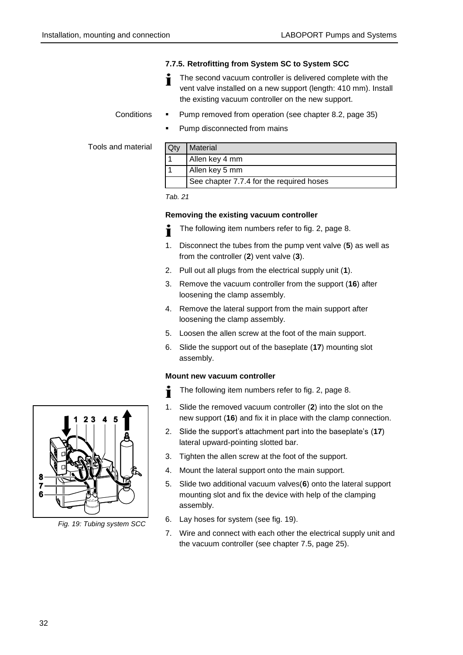#### <span id="page-31-0"></span>**7.7.5. Retrofitting from System SC to System SCC**

The second vacuum controller is delivered complete with the vent valve installed on a new support (length: 410 mm). Install the existing vacuum controller on the new support.

Pump removed from operation (see chapter 8.2, page [35\)](#page-34-0)

**Conditions** 

Pump disconnected from mains

Tools and material

| Qty | Material                                 |
|-----|------------------------------------------|
|     | Allen key 4 mm                           |
|     | Allen key 5 mm                           |
|     | See chapter 7.7.4 for the required hoses |

*Tab. 21*

#### **Removing the existing vacuum controller**

- The following item numbers refer to fig. 2, page [8.](#page-7-1)
- 1. Disconnect the tubes from the pump vent valve (**5**) as well as from the controller (**2**) vent valve (**3**).
- 2. Pull out all plugs from the electrical supply unit (**1**).
- 3. Remove the vacuum controller from the support (**16**) after loosening the clamp assembly.
- 4. Remove the lateral support from the main support after loosening the clamp assembly.
- 5. Loosen the allen screw at the foot of the main support.
- 6. Slide the support out of the baseplate (**17**) mounting slot assembly.

#### **Mount new vacuum controller**

- The following item numbers refer to fig. 2, page [8.](#page-7-1) Ť
- 1. Slide the removed vacuum controller (**2**) into the slot on the new support (**16**) and fix it in place with the clamp connection.
- 2. Slide the support's attachment part into the baseplate's (**17**) lateral upward-pointing slotted bar.
- 3. Tighten the allen screw at the foot of the support.
- 4. Mount the lateral support onto the main support.
- 5. Slide two additional vacuum valves(**6**) onto the lateral support mounting slot and fix the device with help of the clamping assembly.
- 6. Lay hoses for system (see fig. 19).
- 7. Wire and connect with each other the electrical supply unit and the vacuum controller (see chapter 7.5, page [25\)](#page-24-1).



*Fig. 19: Tubing system SCC*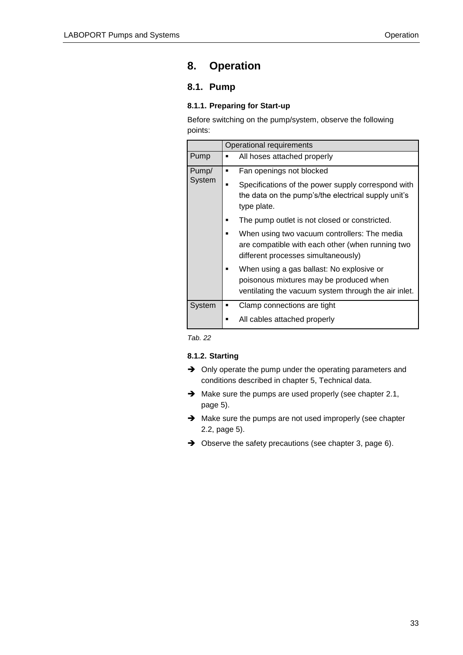## <span id="page-32-0"></span>**8. Operation**

## <span id="page-32-1"></span>**8.1. Pump**

#### <span id="page-32-2"></span>**8.1.1. Preparing for Start-up**

Before switching on the pump/system, observe the following points:

|                 | Operational requirements                                                                                                                                                                                                                                                                                                                                                                                                                                                                         |  |
|-----------------|--------------------------------------------------------------------------------------------------------------------------------------------------------------------------------------------------------------------------------------------------------------------------------------------------------------------------------------------------------------------------------------------------------------------------------------------------------------------------------------------------|--|
| Pump            | All hoses attached properly                                                                                                                                                                                                                                                                                                                                                                                                                                                                      |  |
| Pump/<br>System | Fan openings not blocked<br>Specifications of the power supply correspond with<br>the data on the pump's/the electrical supply unit's<br>type plate.<br>The pump outlet is not closed or constricted.<br>When using two vacuum controllers: The media<br>are compatible with each other (when running two<br>different processes simultaneously)<br>When using a gas ballast: No explosive or<br>poisonous mixtures may be produced when<br>ventilating the vacuum system through the air inlet. |  |
| System          | Clamp connections are tight<br>All cables attached properly                                                                                                                                                                                                                                                                                                                                                                                                                                      |  |

*Tab. 22*

#### <span id="page-32-3"></span>**8.1.2. Starting**

- $\rightarrow$  Only operate the pump under the operating parameters and conditions described in chapter 5, Technical data.
- $\rightarrow$  Make sure the pumps are used properly (see chapter 2.1, page [5\)](#page-4-1).
- $\rightarrow$  Make sure the pumps are not used improperly (see chapter 2.2, page [5\)](#page-4-2).
- → Observe the safety precautions (see chapter 3, page [6\)](#page-5-0).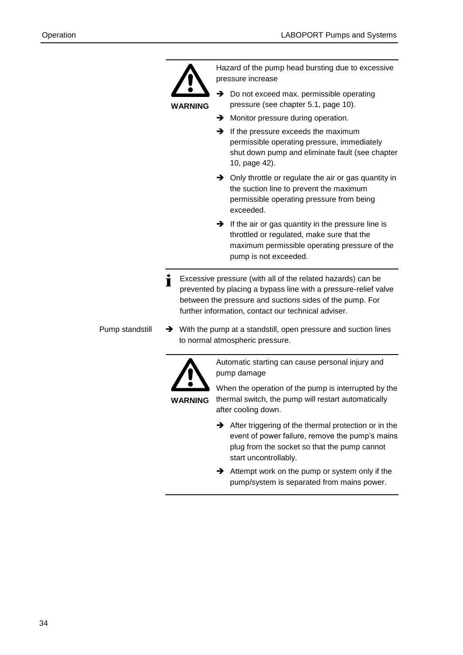

Hazard of the pump head bursting due to excessive pressure increase

- **WARNING**
	- Do not exceed max. permissible operating pressure (see chapter 5.1, page [10\)](#page-9-1).
	- $\rightarrow$  Monitor pressure during operation.
	- $\rightarrow$  If the pressure exceeds the maximum permissible operating pressure, immediately shut down pump and eliminate fault (see chapter 10, page [42\)](#page-41-0).
	- $\rightarrow$  Only throttle or regulate the air or gas quantity in the suction line to prevent the maximum permissible operating pressure from being exceeded.
	- $\rightarrow$  If the air or gas quantity in the pressure line is throttled or regulated, make sure that the maximum permissible operating pressure of the pump is not exceeded.
- Excessive pressure (with all of the related hazards) can be i prevented by placing a bypass line with a pressure-relief valve between the pressure and suctions sides of the pump. For further information, contact our technical adviser.
- $\rightarrow$  With the pump at a standstill, open pressure and suction lines to normal atmospheric pressure. Pump standstill



Automatic starting can cause personal injury and pump damage

**WARNING**

When the operation of the pump is interrupted by the thermal switch, the pump will restart automatically after cooling down.

- $\rightarrow$  After triggering of the thermal protection or in the event of power failure, remove the pump's mains plug from the socket so that the pump cannot start uncontrollably.
- $\rightarrow$  Attempt work on the pump or system only if the pump/system is separated from mains power.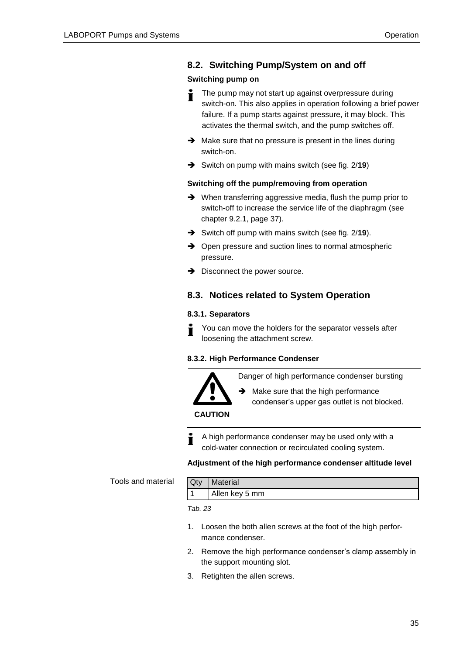#### <span id="page-34-0"></span>**8.2. Switching Pump/System on and off**

#### **Switching pump on**

- The pump may not start up against overpressure during Т switch-on. This also applies in operation following a brief power failure. If a pump starts against pressure, it may block. This activates the thermal switch, and the pump switches off.
- $\rightarrow$  Make sure that no pressure is present in the lines during switch-on.
- **→** Switch on pump with mains switch (see fig. 2/19)

#### **Switching off the pump/removing from operation**

- → When transferring aggressive media, flush the pump prior to switch-off to increase the service life of the diaphragm (see chapter 9.2.1, page [37\)](#page-36-3).
- **→** Switch off pump with mains switch (see fig. 2/19).
- $\rightarrow$  Open pressure and suction lines to normal atmospheric pressure.
- $\rightarrow$  Disconnect the power source.

#### <span id="page-34-1"></span>**8.3. Notices related to System Operation**

#### <span id="page-34-2"></span>**8.3.1. Separators**

You can move the holders for the separator vessels after Ť loosening the attachment screw.

#### <span id="page-34-3"></span>**8.3.2. High Performance Condenser**

Danger of high performance condenser bursting



 $\rightarrow$  Make sure that the high performance condenser's upper gas outlet is not blocked.

**CAUTION**

A high performance condenser may be used only with a cold-water connection or recirculated cooling system.

#### **Adjustment of the high performance condenser altitude level**

Tools and material

| <b>Qty</b> | <b>Material</b> |
|------------|-----------------|
|            | Allen key 5 mm  |

- 1. Loosen the both allen screws at the foot of the high performance condenser.
- 2. Remove the high performance condenser's clamp assembly in the support mounting slot.
- 3. Retighten the allen screws.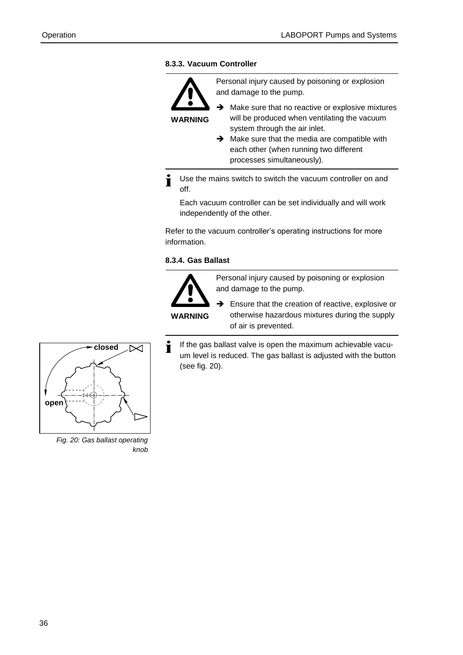#### <span id="page-35-0"></span>**8.3.3. Vacuum Controller**



Personal injury caused by poisoning or explosion and damage to the pump.

 $\rightarrow$  Make sure that no reactive or explosive mixtures will be produced when ventilating the vacuum system through the air inlet.

 $\rightarrow$  Make sure that the media are compatible with each other (when running two different processes simultaneously).

Use the mains switch to switch the vacuum controller on and Ť off.

Each vacuum controller can be set individually and will work independently of the other.

Refer to the vacuum controller's operating instructions for more information.

#### <span id="page-35-1"></span>**8.3.4. Gas Ballast**



Personal injury caused by poisoning or explosion and damage to the pump.

 $\rightarrow$  Ensure that the creation of reactive, explosive or otherwise hazardous mixtures during the supply of air is prevented.

i If the gas ballast valve is open the maximum achievable vacuum level is reduced. The gas ballast is adjusted with the button (see fig. 20).



*Fig. 20: Gas ballast operating knob*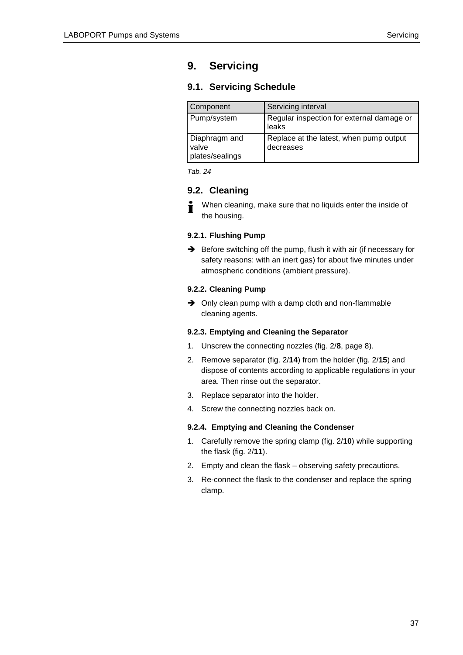## <span id="page-36-0"></span>**9. Servicing**

#### <span id="page-36-1"></span>**9.1. Servicing Schedule**

| Component                                 | Servicing interval                                   |
|-------------------------------------------|------------------------------------------------------|
| Pump/system                               | Regular inspection for external damage or<br>leaks   |
| Diaphragm and<br>valve<br>plates/sealings | Replace at the latest, when pump output<br>decreases |

*Tab. 24*

#### <span id="page-36-2"></span>**9.2. Cleaning**

When cleaning, make sure that no liquids enter the inside of Ť the housing.

#### <span id="page-36-3"></span>**9.2.1. Flushing Pump**

Before switching off the pump, flush it with air (if necessary for safety reasons: with an inert gas) for about five minutes under atmospheric conditions (ambient pressure).

#### <span id="page-36-4"></span>**9.2.2. Cleaning Pump**

 $\rightarrow$  Only clean pump with a damp cloth and non-flammable cleaning agents.

#### <span id="page-36-5"></span>**9.2.3. Emptying and Cleaning the Separator**

- 1. Unscrew the connecting nozzles (fig. 2/**8**, page [8\)](#page-7-1).
- 2. Remove separator (fig. 2/**14**) from the holder (fig. 2/**15**) and dispose of contents according to applicable regulations in your area. Then rinse out the separator.
- 3. Replace separator into the holder.
- 4. Screw the connecting nozzles back on.

#### <span id="page-36-6"></span>**9.2.4. Emptying and Cleaning the Condenser**

- 1. Carefully remove the spring clamp (fig. 2/**10**) while supporting the flask (fig. 2/**11**).
- 2. Empty and clean the flask observing safety precautions.
- 3. Re-connect the flask to the condenser and replace the spring clamp.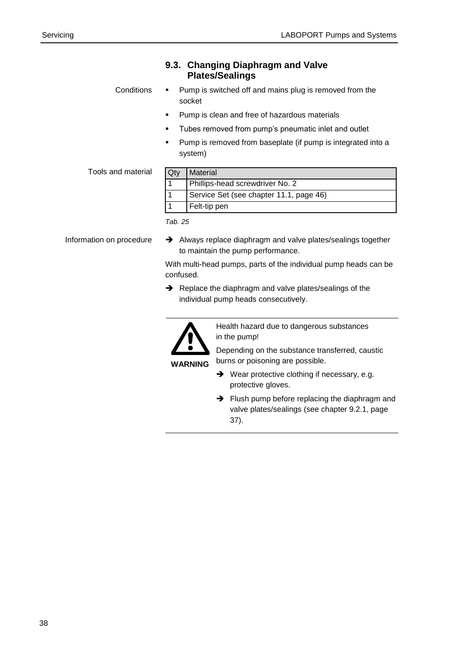|                          | <b>Plates/Sealings</b>                                                                                         |
|--------------------------|----------------------------------------------------------------------------------------------------------------|
| Conditions               | Pump is switched off and mains plug is removed from the<br>socket                                              |
|                          | Pump is clean and free of hazardous materials                                                                  |
|                          | Tubes removed from pump's pneumatic inlet and outlet                                                           |
|                          | Pump is removed from baseplate (if pump is integrated into a<br>system)                                        |
| Tools and material       | Qty<br><b>Material</b>                                                                                         |
|                          | Phillips-head screwdriver No. 2<br>1                                                                           |
|                          | Service Set (see chapter 11.1, page 46)<br>1                                                                   |
|                          | Felt-tip pen                                                                                                   |
|                          | Tab. 25                                                                                                        |
| Information on procedure | $\rightarrow$ Always replace diaphragm and valve plates/sealings together<br>to maintain the pump performance. |

<span id="page-37-0"></span>**9.3. Changing Diaphragm and Valve** 

With multi-head pumps, parts of the individual pump heads can be confused.

Replace the diaphragm and valve plates/sealings of the individual pump heads consecutively.



Health hazard due to dangerous substances in the pump!

Depending on the substance transferred, caustic burns or poisoning are possible.

**WARNING**

- → Wear protective clothing if necessary, e.g. protective gloves.
- $\rightarrow$  Flush pump before replacing the diaphragm and valve plates/sealings (see chapter 9.2.1, page [37\)](#page-36-3).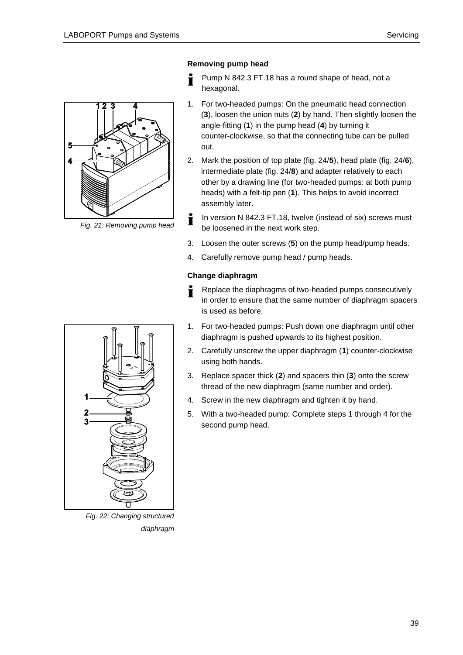

*Fig. 21: Removing pump head*

#### **Removing pump head**

- Pump N 842.3 FT.18 has a round shape of head, not a ı hexagonal.
- 1. For two-headed pumps: On the pneumatic head connection (**3**), loosen the union nuts (**2**) by hand. Then slightly loosen the angle-fitting (**1**) in the pump head (**4**) by turning it counter-clockwise, so that the connecting tube can be pulled out.
- 2. Mark the position of top plate (fig. 24/**5**), head plate (fig. 24/**6**), intermediate plate (fig. 24/**8**) and adapter relatively to each other by a drawing line (for two-headed pumps: at both pump heads) with a felt-tip pen (**1**). This helps to avoid incorrect assembly later.
- In version N 842.3 FT.18, twelve (instead of six) screws must Ť be loosened in the next work step.
- 3. Loosen the outer screws (**5**) on the pump head/pump heads.
- 4. Carefully remove pump head / pump heads.

#### **Change diaphragm**

- Replace the diaphragms of two-headed pumps consecutively Ť in order to ensure that the same number of diaphragm spacers is used as before.
- 1. For two-headed pumps: Push down one diaphragm until other diaphragm is pushed upwards to its highest position.
- 2. Carefully unscrew the upper diaphragm (**1**) counter-clockwise using both hands.
- 3. Replace spacer thick (**2**) and spacers thin (**3**) onto the screw thread of the new diaphragm (same number and order).
- 4. Screw in the new diaphragm and tighten it by hand.
- 5. With a two-headed pump: Complete steps 1 through 4 for the second pump head.

<span id="page-38-0"></span>

*Fig. 22: Changing structured diaphragm*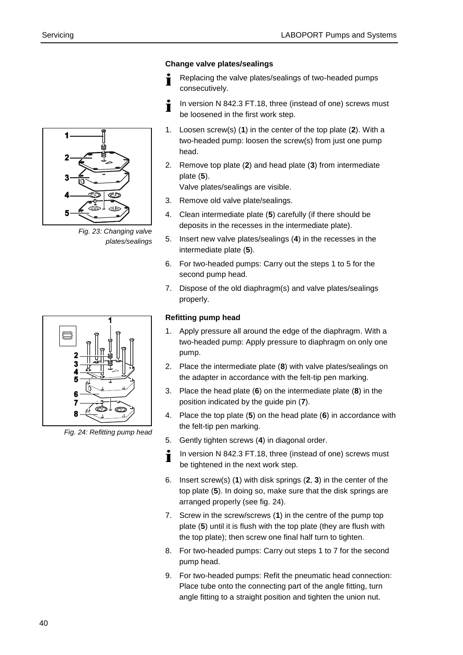#### **Change valve plates/sealings**

- Replacing the valve plates/sealings of two-headed pumps consecutively.
- In version N 842.3 FT.18, three (instead of one) screws must Ť be loosened in the first work step.
- 1. Loosen screw(s) (**1**) in the center of the top plate (**2**). With a two-headed pump: loosen the screw(s) from just one pump head.
- 2. Remove top plate (**2**) and head plate (**3**) from intermediate plate (**5**).

Valve plates/sealings are visible.

- 3. Remove old valve plate/sealings.
- 4. Clean intermediate plate (**5**) carefully (if there should be deposits in the recesses in the intermediate plate).
- 5. Insert new valve plates/sealings (**4**) in the recesses in the intermediate plate (**5**).
- 6. For two-headed pumps: Carry out the steps 1 to 5 for the second pump head.
- 7. Dispose of the old diaphragm(s) and valve plates/sealings properly.

#### **Refitting pump head**

- 1. Apply pressure all around the edge of the diaphragm. With a two-headed pump: Apply pressure to diaphragm on only one pump.
- 2. Place the intermediate plate (**8**) with valve plates/sealings on the adapter in accordance with the felt-tip pen marking.
- 3. Place the head plate (**6**) on the intermediate plate (**8**) in the position indicated by the guide pin (**7**).
- 4. Place the top plate (**5**) on the head plate (**6**) in accordance with the felt-tip pen marking.
- 5. Gently tighten screws (**4**) in diagonal order.
- In version N 842.3 FT.18, three (instead of one) screws must i be tightened in the next work step.
- 6. Insert screw(s) (**1**) with disk springs (**2**, **3**) in the center of the top plate (**5**). In doing so, make sure that the disk springs are arranged properly (see fig. 24).
- 7. Screw in the screw/screws (**1**) in the centre of the pump top plate (**5**) until it is flush with the top plate (they are flush with the top plate); then screw one final half turn to tighten.
- 8. For two-headed pumps: Carry out steps 1 to 7 for the second pump head.
- 9. For two-headed pumps: Refit the pneumatic head connection: Place tube onto the connecting part of the angle fitting, turn angle fitting to a straight position and tighten the union nut.



*Fig. 23: Changing valve plates/sealings*



*Fig. 24: Refitting pump head*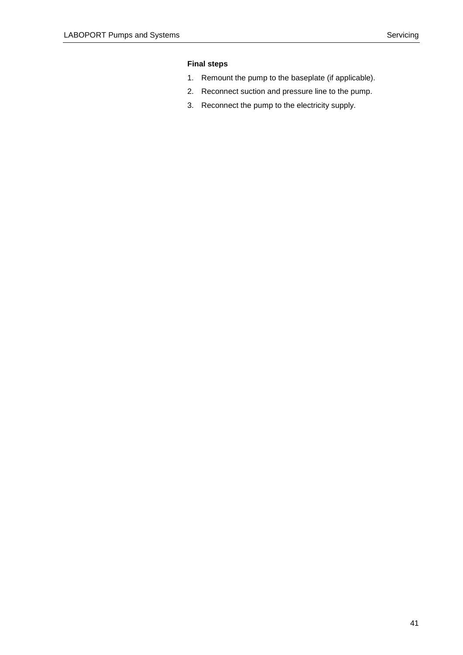#### **Final steps**

- 1. Remount the pump to the baseplate (if applicable).
- 2. Reconnect suction and pressure line to the pump.
- 3. Reconnect the pump to the electricity supply.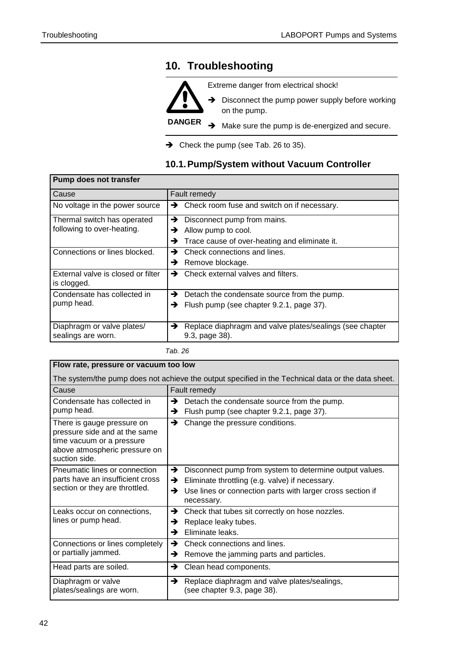## <span id="page-41-0"></span>**10. Troubleshooting**



Extreme danger from electrical shock!

 $\rightarrow$  Disconnect the pump power supply before working on the pump.

**DANGER**  $\rightarrow$  Make sure the pump is de-energized and secure.

 $\rightarrow$  Check the pump (see Tab. 26 to 35).

#### <span id="page-41-1"></span>**10.1. Pump/System without Vacuum Controller**

| <b>Pump does not transfer</b>                     |                                                                                 |  |
|---------------------------------------------------|---------------------------------------------------------------------------------|--|
| Cause                                             | Fault remedy                                                                    |  |
| No voltage in the power source                    | $\rightarrow$ Check room fuse and switch on if necessary.                       |  |
| Thermal switch has operated                       | Disconnect pump from mains.<br>→                                                |  |
| following to over-heating.                        | Allow pump to cool.<br>→                                                        |  |
|                                                   | Trace cause of over-heating and eliminate it.<br>→                              |  |
| Connections or lines blocked.                     | Check connections and lines.<br>→                                               |  |
|                                                   | Remove blockage.<br>→                                                           |  |
| External valve is closed or filter<br>is clogged. | Check external valves and filters.<br>→                                         |  |
| Condensate has collected in                       | Detach the condensate source from the pump.<br>→                                |  |
| pump head.                                        | Flush pump (see chapter 9.2.1, page 37).<br>→                                   |  |
| Diaphragm or valve plates/<br>sealings are worn.  | Replace diaphragm and valve plates/sealings (see chapter<br>→<br>9.3, page 38). |  |

| Flow rate, pressure or vacuum too low                                                                                                      |                                                                                                                                                                                                       |  |
|--------------------------------------------------------------------------------------------------------------------------------------------|-------------------------------------------------------------------------------------------------------------------------------------------------------------------------------------------------------|--|
| The system/the pump does not achieve the output specified in the Technical data or the data sheet.                                         |                                                                                                                                                                                                       |  |
| Cause                                                                                                                                      | Fault remedy                                                                                                                                                                                          |  |
| Condensate has collected in<br>pump head.                                                                                                  | →<br>Detach the condensate source from the pump.<br>Flush pump (see chapter 9.2.1, page 37).<br>→                                                                                                     |  |
| There is gauge pressure on<br>pressure side and at the same<br>time vacuum or a pressure<br>above atmospheric pressure on<br>suction side. | Change the pressure conditions.<br>→                                                                                                                                                                  |  |
| Pneumatic lines or connection<br>parts have an insufficient cross<br>section or they are throttled.                                        | →<br>Disconnect pump from system to determine output values.<br>Eliminate throttling (e.g. valve) if necessary.<br>→<br>Use lines or connection parts with larger cross section if<br>→<br>necessary. |  |
| Leaks occur on connections,<br>lines or pump head.                                                                                         | Check that tubes sit correctly on hose nozzles.<br>→<br>Replace leaky tubes.<br>→<br>Eliminate leaks.<br>→                                                                                            |  |
| Connections or lines completely<br>or partially jammed.                                                                                    | Check connections and lines.<br>→<br>Remove the jamming parts and particles.<br>→                                                                                                                     |  |
| Head parts are soiled.                                                                                                                     | Clean head components.<br>→                                                                                                                                                                           |  |
| Diaphragm or valve<br>plates/sealings are worn.                                                                                            | →<br>Replace diaphragm and valve plates/sealings,<br>(see chapter 9.3, page 38).                                                                                                                      |  |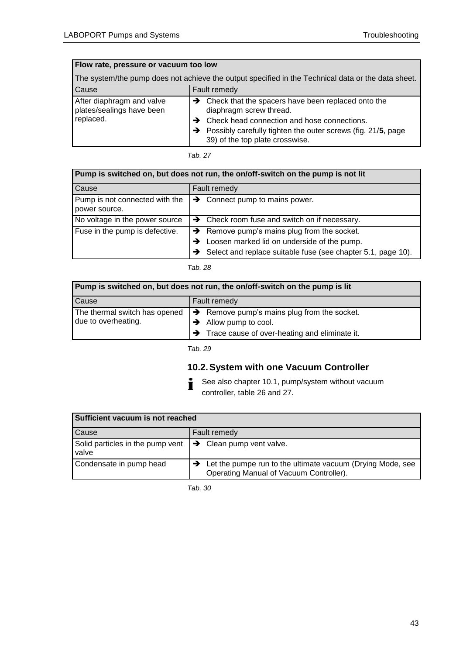| Flow rate, pressure or vacuum too low                                                              |                                                                                                                                                                                                                                                             |  |
|----------------------------------------------------------------------------------------------------|-------------------------------------------------------------------------------------------------------------------------------------------------------------------------------------------------------------------------------------------------------------|--|
| The system/the pump does not achieve the output specified in the Technical data or the data sheet. |                                                                                                                                                                                                                                                             |  |
| Cause                                                                                              | Fault remedy                                                                                                                                                                                                                                                |  |
| After diaphragm and valve<br>plates/sealings have been<br>replaced.                                | $\rightarrow$ Check that the spacers have been replaced onto the<br>diaphragm screw thread.<br>$\rightarrow$ Check head connection and hose connections.<br>Possibly carefully tighten the outer screws (fig. 21/5, page<br>39) of the top plate crosswise. |  |

*Tab. 27*

| Pump is switched on, but does not run, the on/off-switch on the pump is not lit |                                                                                                                                                                        |  |
|---------------------------------------------------------------------------------|------------------------------------------------------------------------------------------------------------------------------------------------------------------------|--|
| Cause                                                                           | Fault remedy                                                                                                                                                           |  |
| Pump is not connected with the<br>power source.                                 | $\rightarrow$ Connect pump to mains power.                                                                                                                             |  |
| No voltage in the power source                                                  | $\rightarrow$ Check room fuse and switch on if necessary.                                                                                                              |  |
| Fuse in the pump is defective.                                                  | $\rightarrow$ Remove pump's mains plug from the socket.<br>Loosen marked lid on underside of the pump.<br>Select and replace suitable fuse (see chapter 5.1, page 10). |  |

#### *Tab. 28*

| Pump is switched on, but does not run, the on/off-switch on the pump is lit |                                                             |  |
|-----------------------------------------------------------------------------|-------------------------------------------------------------|--|
| Cause                                                                       | Fault remedy                                                |  |
| The thermal switch has opened                                               | $\rightarrow$ Remove pump's mains plug from the socket.     |  |
| due to overheating.                                                         | $\rightarrow$ Allow pump to cool.                           |  |
|                                                                             | $\rightarrow$ Trace cause of over-heating and eliminate it. |  |

*Tab. 29*

## <span id="page-42-0"></span>**10.2. System with one Vacuum Controller**

i See also chapter 10.1, pump/system without vacuum controller, table 26 and 27.

| Sufficient vacuum is not reached                                               |                                                                                                                     |
|--------------------------------------------------------------------------------|---------------------------------------------------------------------------------------------------------------------|
| Cause                                                                          | Fault remedy                                                                                                        |
| Solid particles in the pump vent $\rightarrow$ Clean pump vent valve.<br>valve |                                                                                                                     |
| Condensate in pump head                                                        | $\rightarrow$ Let the pumpe run to the ultimate vacuum (Drying Mode, see<br>Operating Manual of Vacuum Controller). |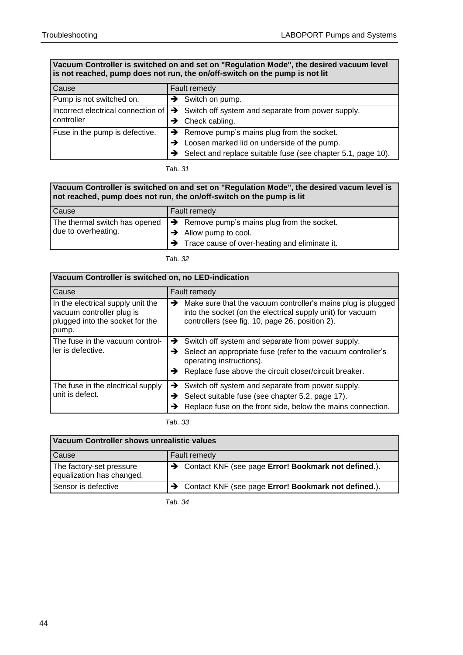#### **Vacuum Controller is switched on and set on "Regulation Mode", the desired vacuum level is not reached, pump does not run, the on/off-switch on the pump is not lit**

| Cause                              | <b>Fault remedy</b>                                             |
|------------------------------------|-----------------------------------------------------------------|
| Pump is not switched on.           | $\rightarrow$ Switch on pump.                                   |
| Incorrect electrical connection of | $\rightarrow$ Switch off system and separate from power supply. |
| controller                         | Check cabling.                                                  |
| Fuse in the pump is defective.     | $\rightarrow$ Remove pump's mains plug from the socket.         |
|                                    | Loosen marked lid on underside of the pump.                     |
|                                    | Select and replace suitable fuse (see chapter 5.1, page 10).    |

*Tab. 31*

#### **Vacuum Controller is switched on and set on "Regulation Mode", the desired vacum level is not reached, pump does not run, the on/off-switch on the pump is lit**

| Cause                                                | Fault remedy                                                                                                                                  |
|------------------------------------------------------|-----------------------------------------------------------------------------------------------------------------------------------------------|
| The thermal switch has opened<br>due to overheating. | $\rightarrow$ Remove pump's mains plug from the socket.<br>$\rightarrow$ Allow pump to cool.<br>Trace cause of over-heating and eliminate it. |

*Tab. 32*

| Vacuum Controller is switched on, no LED-indication                                                        |                                                                                                                                                                                    |
|------------------------------------------------------------------------------------------------------------|------------------------------------------------------------------------------------------------------------------------------------------------------------------------------------|
| Cause                                                                                                      | Fault remedy                                                                                                                                                                       |
| In the electrical supply unit the<br>vacuum controller plug is<br>plugged into the socket for the<br>pump. | Make sure that the vacuum controller's mains plug is plugged<br>→<br>into the socket (on the electrical supply unit) for vacuum<br>controllers (see fig. 10, page 26, position 2). |
| The fuse in the vacuum control-<br>ler is defective.                                                       | $\rightarrow$ Switch off system and separate from power supply.                                                                                                                    |
|                                                                                                            | Select an appropriate fuse (refer to the vacuum controller's<br>→<br>operating instructions).                                                                                      |
|                                                                                                            | Replace fuse above the circuit closer/circuit breaker.<br>→                                                                                                                        |
| The fuse in the electrical supply<br>unit is defect.                                                       | Switch off system and separate from power supply.<br>→                                                                                                                             |
|                                                                                                            | Select suitable fuse (see chapter 5.2, page 17).<br>→                                                                                                                              |
|                                                                                                            | Replace fuse on the front side, below the mains connection.<br>→                                                                                                                   |

*Tab. 33*

| Vacuum Controller shows unrealistic values            |                                                                    |
|-------------------------------------------------------|--------------------------------------------------------------------|
| <b>Cause</b>                                          | Fault remedy                                                       |
| The factory-set pressure<br>equalization has changed. | $\rightarrow$ Contact KNF (see page Error! Bookmark not defined.). |
| Sensor is defective                                   | > Contact KNF (see page Error! Bookmark not defined.).             |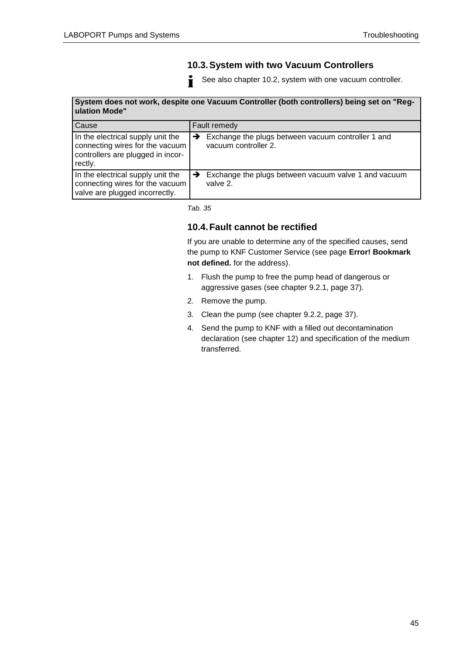#### <span id="page-44-0"></span>**10.3. System with two Vacuum Controllers**

See also chapter 10.2, system with one vacuum controller. Ť

#### **System does not work, despite one Vacuum Controller (both controllers) being set on "Regulation Mode"**

| Cause                                                                                                                | Fault remedy                                                                                |
|----------------------------------------------------------------------------------------------------------------------|---------------------------------------------------------------------------------------------|
| In the electrical supply unit the<br>connecting wires for the vacuum<br>controllers are plugged in incor-<br>rectly. | Exchange the plugs between vacuum controller 1 and<br>$\rightarrow$<br>vacuum controller 2. |
| In the electrical supply unit the<br>connecting wires for the vacuum<br>valve are plugged incorrectly.               | Exchange the plugs between vacuum valve 1 and vacuum<br>→<br>valve 2.                       |

*Tab. 35*

#### <span id="page-44-1"></span>**10.4. Fault cannot be rectified**

If you are unable to determine any of the specified causes, send the pump to KNF Customer Service (see page **Error! Bookmark not defined.** for the address).

- 1. Flush the pump to free the pump head of dangerous or aggressive gases (see chapter 9.2.1, page [37\)](#page-36-3).
- 2. Remove the pump.
- 3. Clean the pump (see chapter 9.2.2, page [37\)](#page-36-4).
- 4. Send the pump to KNF with a filled out decontamination declaration (see chapter 12) and specification of the medium transferred.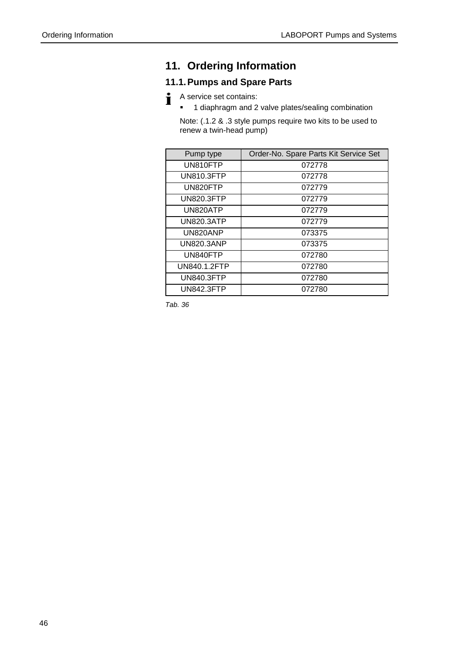## <span id="page-45-0"></span>**11. Ordering Information**

## <span id="page-45-1"></span>**11.1. Pumps and Spare Parts**

- i A service set contains:
	- <sup>1</sup> 1 diaphragm and 2 valve plates/sealing combination

Note: (.1.2 & .3 style pumps require two kits to be used to renew a twin-head pump)

| Pump type         | Order-No. Spare Parts Kit Service Set |
|-------------------|---------------------------------------|
| UN810FTP          | 072778                                |
| <b>UN810.3FTP</b> | 072778                                |
| UN820FTP          | 072779                                |
| <b>UN820.3FTP</b> | 072779                                |
| UN820ATP          | 072779                                |
| UN820.3ATP        | 072779                                |
| UN820ANP          | 073375                                |
| <b>UN820.3ANP</b> | 073375                                |
| UN840FTP          | 072780                                |
| UN840.1.2FTP      | 072780                                |
| <b>UN840.3FTP</b> | 072780                                |
| UN842.3FTP        | 072780                                |